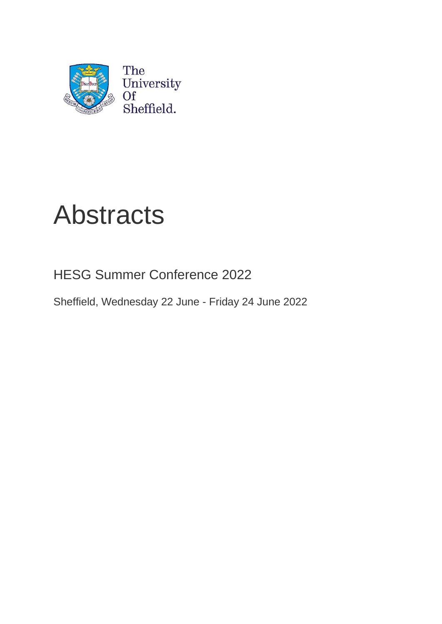

# Abstracts

HESG Summer Conference 2022

Sheffield, Wednesday 22 June - Friday 24 June 2022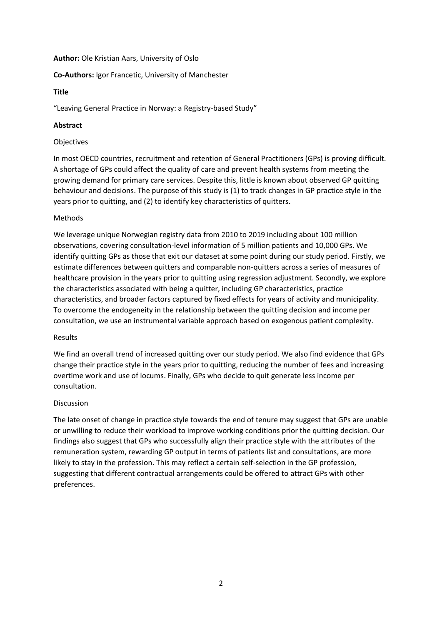#### **Author:** Ole Kristian Aars, University of Oslo

# **Co-Authors:** Igor Francetic, University of Manchester

#### **Title**

"Leaving General Practice in Norway: a Registry-based Study"

# **Abstract**

#### Objectives

In most OECD countries, recruitment and retention of General Practitioners (GPs) is proving difficult. A shortage of GPs could affect the quality of care and prevent health systems from meeting the growing demand for primary care services. Despite this, little is known about observed GP quitting behaviour and decisions. The purpose of this study is (1) to track changes in GP practice style in the years prior to quitting, and (2) to identify key characteristics of quitters.

# Methods

We leverage unique Norwegian registry data from 2010 to 2019 including about 100 million observations, covering consultation-level information of 5 million patients and 10,000 GPs. We identify quitting GPs as those that exit our dataset at some point during our study period. Firstly, we estimate differences between quitters and comparable non-quitters across a series of measures of healthcare provision in the years prior to quitting using regression adjustment. Secondly, we explore the characteristics associated with being a quitter, including GP characteristics, practice characteristics, and broader factors captured by fixed effects for years of activity and municipality. To overcome the endogeneity in the relationship between the quitting decision and income per consultation, we use an instrumental variable approach based on exogenous patient complexity.

#### Results

We find an overall trend of increased quitting over our study period. We also find evidence that GPs change their practice style in the years prior to quitting, reducing the number of fees and increasing overtime work and use of locums. Finally, GPs who decide to quit generate less income per consultation.

#### Discussion

The late onset of change in practice style towards the end of tenure may suggest that GPs are unable or unwilling to reduce their workload to improve working conditions prior the quitting decision. Our findings also suggest that GPs who successfully align their practice style with the attributes of the remuneration system, rewarding GP output in terms of patients list and consultations, are more likely to stay in the profession. This may reflect a certain self-selection in the GP profession, suggesting that different contractual arrangements could be offered to attract GPs with other preferences.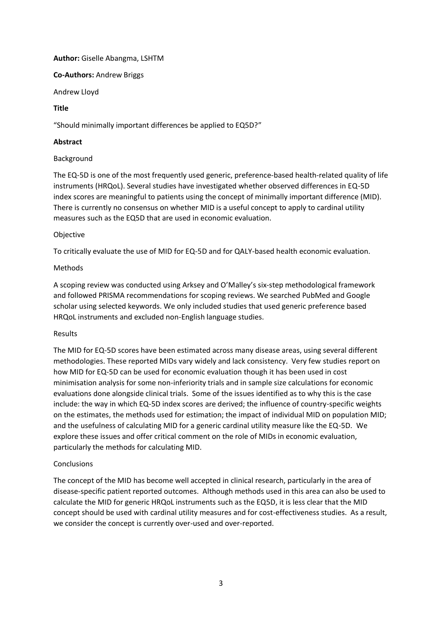# **Author:** Giselle Abangma, LSHTM

**Co-Authors:** Andrew Briggs

Andrew Lloyd

# **Title**

"Should minimally important differences be applied to EQ5D?"

# **Abstract**

# Background

The EQ-5D is one of the most frequently used generic, preference-based health-related quality of life instruments (HRQoL). Several studies have investigated whether observed differences in EQ-5D index scores are meaningful to patients using the concept of minimally important difference (MID). There is currently no consensus on whether MID is a useful concept to apply to cardinal utility measures such as the EQ5D that are used in economic evaluation.

# Objective

To critically evaluate the use of MID for EQ-5D and for QALY-based health economic evaluation.

# Methods

A scoping review was conducted using Arksey and O'Malley's six-step methodological framework and followed PRISMA recommendations for scoping reviews. We searched PubMed and Google scholar using selected keywords. We only included studies that used generic preference based HRQoL instruments and excluded non-English language studies.

# Results

The MID for EQ-5D scores have been estimated across many disease areas, using several different methodologies. These reported MIDs vary widely and lack consistency. Very few studies report on how MID for EQ-5D can be used for economic evaluation though it has been used in cost minimisation analysis for some non-inferiority trials and in sample size calculations for economic evaluations done alongside clinical trials. Some of the issues identified as to why this is the case include: the way in which EQ-5D index scores are derived; the influence of country-specific weights on the estimates, the methods used for estimation; the impact of individual MID on population MID; and the usefulness of calculating MID for a generic cardinal utility measure like the EQ-5D. We explore these issues and offer critical comment on the role of MIDs in economic evaluation, particularly the methods for calculating MID.

# **Conclusions**

The concept of the MID has become well accepted in clinical research, particularly in the area of disease-specific patient reported outcomes. Although methods used in this area can also be used to calculate the MID for generic HRQoL instruments such as the EQ5D, it is less clear that the MID concept should be used with cardinal utility measures and for cost-effectiveness studies. As a result, we consider the concept is currently over-used and over-reported.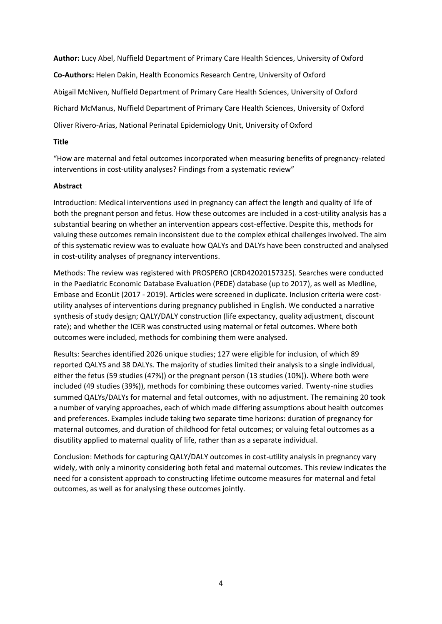**Author:** Lucy Abel, Nuffield Department of Primary Care Health Sciences, University of Oxford **Co-Authors:** Helen Dakin, Health Economics Research Centre, University of Oxford Abigail McNiven, Nuffield Department of Primary Care Health Sciences, University of Oxford Richard McManus, Nuffield Department of Primary Care Health Sciences, University of Oxford Oliver Rivero-Arias, National Perinatal Epidemiology Unit, University of Oxford

# **Title**

"How are maternal and fetal outcomes incorporated when measuring benefits of pregnancy-related interventions in cost-utility analyses? Findings from a systematic review"

# **Abstract**

Introduction: Medical interventions used in pregnancy can affect the length and quality of life of both the pregnant person and fetus. How these outcomes are included in a cost-utility analysis has a substantial bearing on whether an intervention appears cost-effective. Despite this, methods for valuing these outcomes remain inconsistent due to the complex ethical challenges involved. The aim of this systematic review was to evaluate how QALYs and DALYs have been constructed and analysed in cost-utility analyses of pregnancy interventions.

Methods: The review was registered with PROSPERO (CRD42020157325). Searches were conducted in the Paediatric Economic Database Evaluation (PEDE) database (up to 2017), as well as Medline, Embase and EconLit (2017 - 2019). Articles were screened in duplicate. Inclusion criteria were costutility analyses of interventions during pregnancy published in English. We conducted a narrative synthesis of study design; QALY/DALY construction (life expectancy, quality adjustment, discount rate); and whether the ICER was constructed using maternal or fetal outcomes. Where both outcomes were included, methods for combining them were analysed.

Results: Searches identified 2026 unique studies; 127 were eligible for inclusion, of which 89 reported QALYS and 38 DALYs. The majority of studies limited their analysis to a single individual, either the fetus (59 studies (47%)) or the pregnant person (13 studies (10%)). Where both were included (49 studies (39%)), methods for combining these outcomes varied. Twenty-nine studies summed QALYs/DALYs for maternal and fetal outcomes, with no adjustment. The remaining 20 took a number of varying approaches, each of which made differing assumptions about health outcomes and preferences. Examples include taking two separate time horizons: duration of pregnancy for maternal outcomes, and duration of childhood for fetal outcomes; or valuing fetal outcomes as a disutility applied to maternal quality of life, rather than as a separate individual.

Conclusion: Methods for capturing QALY/DALY outcomes in cost-utility analysis in pregnancy vary widely, with only a minority considering both fetal and maternal outcomes. This review indicates the need for a consistent approach to constructing lifetime outcome measures for maternal and fetal outcomes, as well as for analysing these outcomes jointly.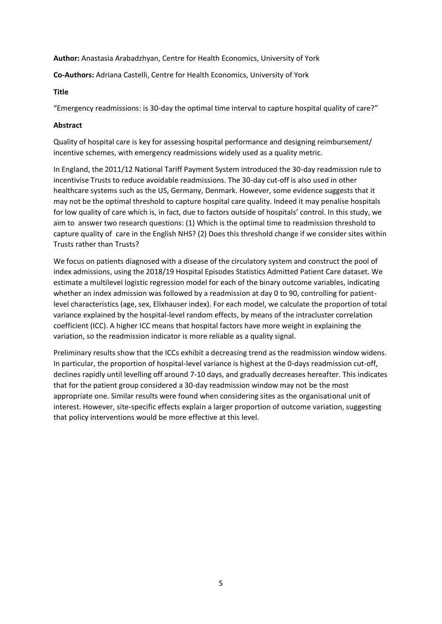**Author:** Anastasia Arabadzhyan, Centre for Health Economics, University of York

**Co-Authors:** Adriana Castelli, Centre for Health Economics, University of York

#### **Title**

"Emergency readmissions: is 30-day the optimal time interval to capture hospital quality of care?"

# **Abstract**

Quality of hospital care is key for assessing hospital performance and designing reimbursement/ incentive schemes, with emergency readmissions widely used as a quality metric.

In England, the 2011/12 National Tariff Payment System introduced the 30-day readmission rule to incentivise Trusts to reduce avoidable readmissions. The 30-day cut-off is also used in other healthcare systems such as the US, Germany, Denmark. However, some evidence suggests that it may not be the optimal threshold to capture hospital care quality. Indeed it may penalise hospitals for low quality of care which is, in fact, due to factors outside of hospitals' control. In this study, we aim to answer two research questions: (1) Which is the optimal time to readmission threshold to capture quality of care in the English NHS? (2) Does this threshold change if we consider sites within Trusts rather than Trusts?

We focus on patients diagnosed with a disease of the circulatory system and construct the pool of index admissions, using the 2018/19 Hospital Episodes Statistics Admitted Patient Care dataset. We estimate a multilevel logistic regression model for each of the binary outcome variables, indicating whether an index admission was followed by a readmission at day 0 to 90, controlling for patientlevel characteristics (age, sex, Elixhauser index). For each model, we calculate the proportion of total variance explained by the hospital-level random effects, by means of the intracluster correlation coefficient (ICC). A higher ICC means that hospital factors have more weight in explaining the variation, so the readmission indicator is more reliable as a quality signal.

Preliminary results show that the ICCs exhibit a decreasing trend as the readmission window widens. In particular, the proportion of hospital-level variance is highest at the 0-days readmission cut-off, declines rapidly until levelling off around 7-10 days, and gradually decreases hereafter. This indicates that for the patient group considered a 30-day readmission window may not be the most appropriate one. Similar results were found when considering sites as the organisational unit of interest. However, site-specific effects explain a larger proportion of outcome variation, suggesting that policy interventions would be more effective at this level.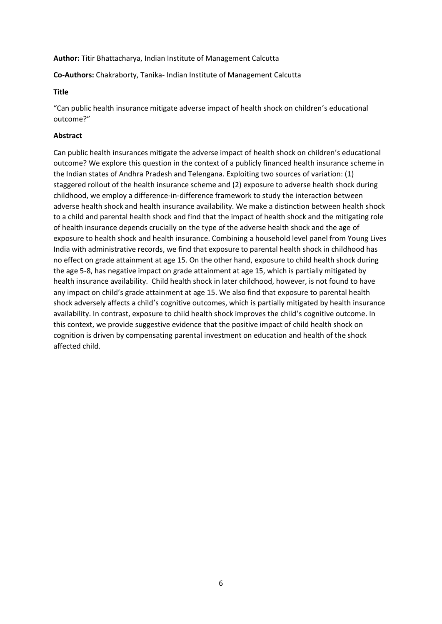#### **Author:** Titir Bhattacharya, Indian Institute of Management Calcutta

**Co-Authors:** Chakraborty, Tanika- Indian Institute of Management Calcutta

#### **Title**

"Can public health insurance mitigate adverse impact of health shock on children's educational outcome?"

# **Abstract**

Can public health insurances mitigate the adverse impact of health shock on children's educational outcome? We explore this question in the context of a publicly financed health insurance scheme in the Indian states of Andhra Pradesh and Telengana. Exploiting two sources of variation: (1) staggered rollout of the health insurance scheme and (2) exposure to adverse health shock during childhood, we employ a difference-in-difference framework to study the interaction between adverse health shock and health insurance availability. We make a distinction between health shock to a child and parental health shock and find that the impact of health shock and the mitigating role of health insurance depends crucially on the type of the adverse health shock and the age of exposure to health shock and health insurance. Combining a household level panel from Young Lives India with administrative records, we find that exposure to parental health shock in childhood has no effect on grade attainment at age 15. On the other hand, exposure to child health shock during the age 5-8, has negative impact on grade attainment at age 15, which is partially mitigated by health insurance availability. Child health shock in later childhood, however, is not found to have any impact on child's grade attainment at age 15. We also find that exposure to parental health shock adversely affects a child's cognitive outcomes, which is partially mitigated by health insurance availability. In contrast, exposure to child health shock improves the child's cognitive outcome. In this context, we provide suggestive evidence that the positive impact of child health shock on cognition is driven by compensating parental investment on education and health of the shock affected child.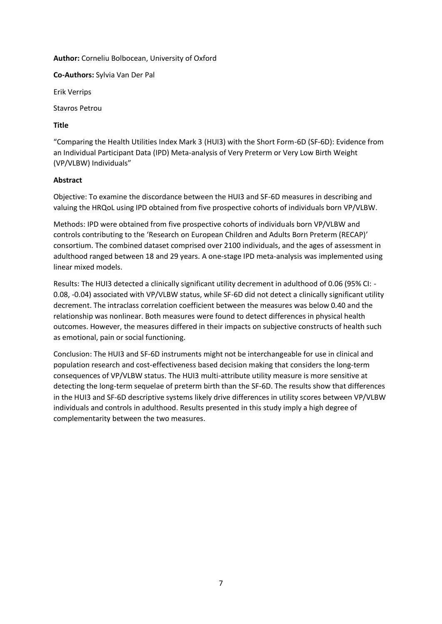**Author:** Corneliu Bolbocean, University of Oxford

**Co-Authors:** Sylvia Van Der Pal

Erik Verrips

Stavros Petrou

# **Title**

"Comparing the Health Utilities Index Mark 3 (HUI3) with the Short Form-6D (SF-6D): Evidence from an Individual Participant Data (IPD) Meta-analysis of Very Preterm or Very Low Birth Weight (VP/VLBW) Individuals"

# **Abstract**

Objective: To examine the discordance between the HUI3 and SF-6D measures in describing and valuing the HRQoL using IPD obtained from five prospective cohorts of individuals born VP/VLBW.

Methods: IPD were obtained from five prospective cohorts of individuals born VP/VLBW and controls contributing to the 'Research on European Children and Adults Born Preterm (RECAP)' consortium. The combined dataset comprised over 2100 individuals, and the ages of assessment in adulthood ranged between 18 and 29 years. A one-stage IPD meta-analysis was implemented using linear mixed models.

Results: The HUI3 detected a clinically significant utility decrement in adulthood of 0.06 (95% CI: - 0.08, -0.04) associated with VP/VLBW status, while SF-6D did not detect a clinically significant utility decrement. The intraclass correlation coefficient between the measures was below 0.40 and the relationship was nonlinear. Both measures were found to detect differences in physical health outcomes. However, the measures differed in their impacts on subjective constructs of health such as emotional, pain or social functioning.

Conclusion: The HUI3 and SF-6D instruments might not be interchangeable for use in clinical and population research and cost-effectiveness based decision making that considers the long-term consequences of VP/VLBW status. The HUI3 multi-attribute utility measure is more sensitive at detecting the long-term sequelae of preterm birth than the SF-6D. The results show that differences in the HUI3 and SF-6D descriptive systems likely drive differences in utility scores between VP/VLBW individuals and controls in adulthood. Results presented in this study imply a high degree of complementarity between the two measures.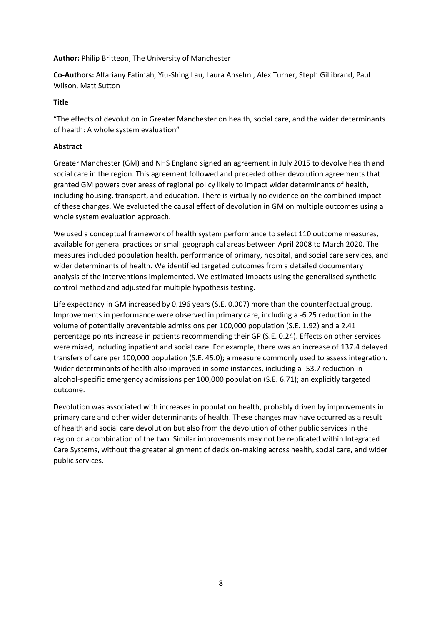**Author:** Philip Britteon, The University of Manchester

**Co-Authors:** Alfariany Fatimah, Yiu-Shing Lau, Laura Anselmi, Alex Turner, Steph Gillibrand, Paul Wilson, Matt Sutton

# **Title**

"The effects of devolution in Greater Manchester on health, social care, and the wider determinants of health: A whole system evaluation"

# **Abstract**

Greater Manchester (GM) and NHS England signed an agreement in July 2015 to devolve health and social care in the region. This agreement followed and preceded other devolution agreements that granted GM powers over areas of regional policy likely to impact wider determinants of health, including housing, transport, and education. There is virtually no evidence on the combined impact of these changes. We evaluated the causal effect of devolution in GM on multiple outcomes using a whole system evaluation approach.

We used a conceptual framework of health system performance to select 110 outcome measures, available for general practices or small geographical areas between April 2008 to March 2020. The measures included population health, performance of primary, hospital, and social care services, and wider determinants of health. We identified targeted outcomes from a detailed documentary analysis of the interventions implemented. We estimated impacts using the generalised synthetic control method and adjusted for multiple hypothesis testing.

Life expectancy in GM increased by 0.196 years (S.E. 0.007) more than the counterfactual group. Improvements in performance were observed in primary care, including a -6.25 reduction in the volume of potentially preventable admissions per 100,000 population (S.E. 1.92) and a 2.41 percentage points increase in patients recommending their GP (S.E. 0.24). Effects on other services were mixed, including inpatient and social care. For example, there was an increase of 137.4 delayed transfers of care per 100,000 population (S.E. 45.0); a measure commonly used to assess integration. Wider determinants of health also improved in some instances, including a -53.7 reduction in alcohol-specific emergency admissions per 100,000 population (S.E. 6.71); an explicitly targeted outcome.

Devolution was associated with increases in population health, probably driven by improvements in primary care and other wider determinants of health. These changes may have occurred as a result of health and social care devolution but also from the devolution of other public services in the region or a combination of the two. Similar improvements may not be replicated within Integrated Care Systems, without the greater alignment of decision-making across health, social care, and wider public services.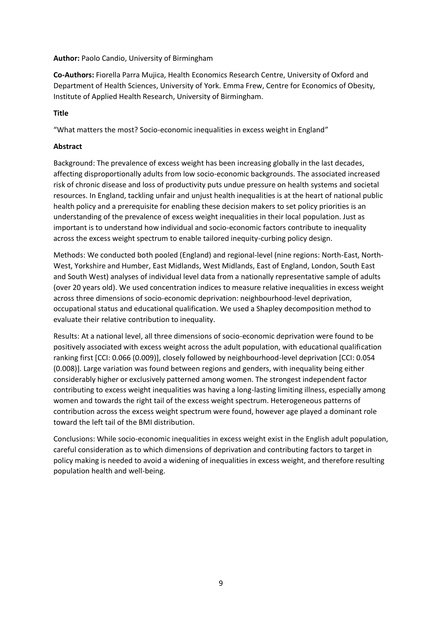# **Author:** Paolo Candio, University of Birmingham

**Co-Authors:** Fiorella Parra Mujica, Health Economics Research Centre, University of Oxford and Department of Health Sciences, University of York. Emma Frew, Centre for Economics of Obesity, Institute of Applied Health Research, University of Birmingham.

# **Title**

"What matters the most? Socio-economic inequalities in excess weight in England"

# **Abstract**

Background: The prevalence of excess weight has been increasing globally in the last decades, affecting disproportionally adults from low socio-economic backgrounds. The associated increased risk of chronic disease and loss of productivity puts undue pressure on health systems and societal resources. In England, tackling unfair and unjust health inequalities is at the heart of national public health policy and a prerequisite for enabling these decision makers to set policy priorities is an understanding of the prevalence of excess weight inequalities in their local population. Just as important is to understand how individual and socio-economic factors contribute to inequality across the excess weight spectrum to enable tailored inequity-curbing policy design.

Methods: We conducted both pooled (England) and regional-level (nine regions: North-East, North-West, Yorkshire and Humber, East Midlands, West Midlands, East of England, London, South East and South West) analyses of individual level data from a nationally representative sample of adults (over 20 years old). We used concentration indices to measure relative inequalities in excess weight across three dimensions of socio-economic deprivation: neighbourhood-level deprivation, occupational status and educational qualification. We used a Shapley decomposition method to evaluate their relative contribution to inequality.

Results: At a national level, all three dimensions of socio-economic deprivation were found to be positively associated with excess weight across the adult population, with educational qualification ranking first [CCI: 0.066 (0.009)], closely followed by neighbourhood-level deprivation [CCI: 0.054 (0.008)]. Large variation was found between regions and genders, with inequality being either considerably higher or exclusively patterned among women. The strongest independent factor contributing to excess weight inequalities was having a long-lasting limiting illness, especially among women and towards the right tail of the excess weight spectrum. Heterogeneous patterns of contribution across the excess weight spectrum were found, however age played a dominant role toward the left tail of the BMI distribution.

Conclusions: While socio-economic inequalities in excess weight exist in the English adult population, careful consideration as to which dimensions of deprivation and contributing factors to target in policy making is needed to avoid a widening of inequalities in excess weight, and therefore resulting population health and well-being.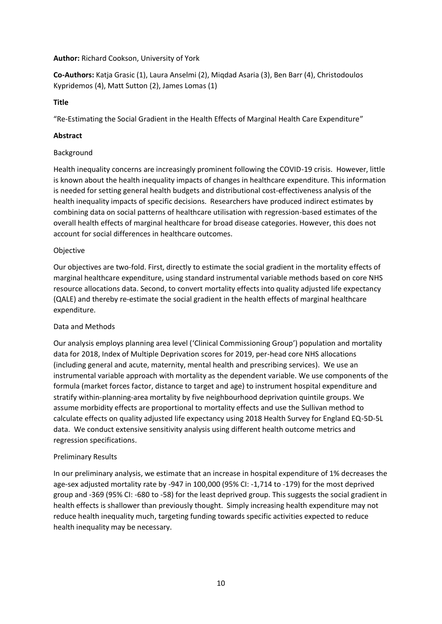# **Author:** Richard Cookson, University of York

**Co-Authors:** Katja Grasic (1), Laura Anselmi (2), Miqdad Asaria (3), Ben Barr (4), Christodoulos Kypridemos (4), Matt Sutton (2), James Lomas (1)

# **Title**

"Re-Estimating the Social Gradient in the Health Effects of Marginal Health Care Expenditure"

# **Abstract**

#### Background

Health inequality concerns are increasingly prominent following the COVID-19 crisis. However, little is known about the health inequality impacts of changes in healthcare expenditure. This information is needed for setting general health budgets and distributional cost-effectiveness analysis of the health inequality impacts of specific decisions. Researchers have produced indirect estimates by combining data on social patterns of healthcare utilisation with regression-based estimates of the overall health effects of marginal healthcare for broad disease categories. However, this does not account for social differences in healthcare outcomes.

# Objective

Our objectives are two-fold. First, directly to estimate the social gradient in the mortality effects of marginal healthcare expenditure, using standard instrumental variable methods based on core NHS resource allocations data. Second, to convert mortality effects into quality adjusted life expectancy (QALE) and thereby re-estimate the social gradient in the health effects of marginal healthcare expenditure.

# Data and Methods

Our analysis employs planning area level ('Clinical Commissioning Group') population and mortality data for 2018, Index of Multiple Deprivation scores for 2019, per-head core NHS allocations (including general and acute, maternity, mental health and prescribing services). We use an instrumental variable approach with mortality as the dependent variable. We use components of the formula (market forces factor, distance to target and age) to instrument hospital expenditure and stratify within-planning-area mortality by five neighbourhood deprivation quintile groups. We assume morbidity effects are proportional to mortality effects and use the Sullivan method to calculate effects on quality adjusted life expectancy using 2018 Health Survey for England EQ-5D-5L data. We conduct extensive sensitivity analysis using different health outcome metrics and regression specifications.

# Preliminary Results

In our preliminary analysis, we estimate that an increase in hospital expenditure of 1% decreases the age-sex adjusted mortality rate by -947 in 100,000 (95% CI: -1,714 to -179) for the most deprived group and -369 (95% CI: -680 to -58) for the least deprived group. This suggests the social gradient in health effects is shallower than previously thought. Simply increasing health expenditure may not reduce health inequality much, targeting funding towards specific activities expected to reduce health inequality may be necessary.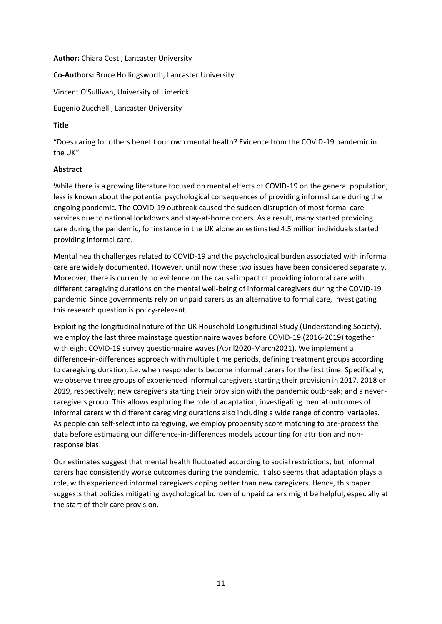#### **Author:** Chiara Costi, Lancaster University

**Co-Authors:** Bruce Hollingsworth, Lancaster University

Vincent O'Sullivan, University of Limerick

Eugenio Zucchelli, Lancaster University

# **Title**

"Does caring for others benefit our own mental health? Evidence from the COVID-19 pandemic in the UK"

# **Abstract**

While there is a growing literature focused on mental effects of COVID-19 on the general population, less is known about the potential psychological consequences of providing informal care during the ongoing pandemic. The COVID-19 outbreak caused the sudden disruption of most formal care services due to national lockdowns and stay-at-home orders. As a result, many started providing care during the pandemic, for instance in the UK alone an estimated 4.5 million individuals started providing informal care.

Mental health challenges related to COVID-19 and the psychological burden associated with informal care are widely documented. However, until now these two issues have been considered separately. Moreover, there is currently no evidence on the causal impact of providing informal care with different caregiving durations on the mental well-being of informal caregivers during the COVID-19 pandemic. Since governments rely on unpaid carers as an alternative to formal care, investigating this research question is policy-relevant.

Exploiting the longitudinal nature of the UK Household Longitudinal Study (Understanding Society), we employ the last three mainstage questionnaire waves before COVID-19 (2016-2019) together with eight COVID-19 survey questionnaire waves (April2020-March2021). We implement a difference-in-differences approach with multiple time periods, defining treatment groups according to caregiving duration, i.e. when respondents become informal carers for the first time. Specifically, we observe three groups of experienced informal caregivers starting their provision in 2017, 2018 or 2019, respectively; new caregivers starting their provision with the pandemic outbreak; and a nevercaregivers group. This allows exploring the role of adaptation, investigating mental outcomes of informal carers with different caregiving durations also including a wide range of control variables. As people can self-select into caregiving, we employ propensity score matching to pre-process the data before estimating our difference-in-differences models accounting for attrition and nonresponse bias.

Our estimates suggest that mental health fluctuated according to social restrictions, but informal carers had consistently worse outcomes during the pandemic. It also seems that adaptation plays a role, with experienced informal caregivers coping better than new caregivers. Hence, this paper suggests that policies mitigating psychological burden of unpaid carers might be helpful, especially at the start of their care provision.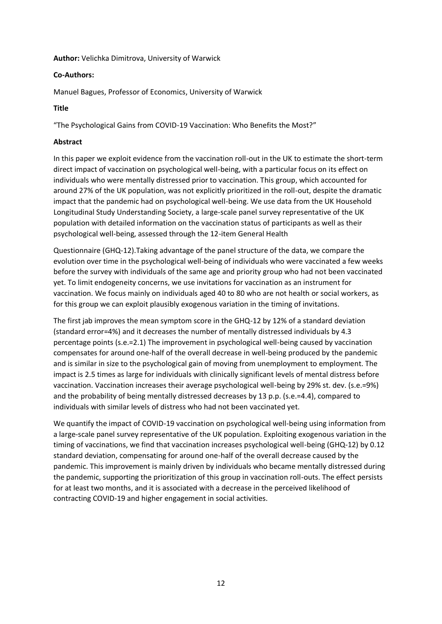# **Author:** Velichka Dimitrova, University of Warwick

# **Co-Authors:**

Manuel Bagues, Professor of Economics, University of Warwick

# **Title**

"The Psychological Gains from COVID-19 Vaccination: Who Benefits the Most?"

# **Abstract**

In this paper we exploit evidence from the vaccination roll-out in the UK to estimate the short-term direct impact of vaccination on psychological well-being, with a particular focus on its effect on individuals who were mentally distressed prior to vaccination. This group, which accounted for around 27% of the UK population, was not explicitly prioritized in the roll-out, despite the dramatic impact that the pandemic had on psychological well-being. We use data from the UK Household Longitudinal Study Understanding Society, a large-scale panel survey representative of the UK population with detailed information on the vaccination status of participants as well as their psychological well-being, assessed through the 12-item General Health

Questionnaire (GHQ-12).Taking advantage of the panel structure of the data, we compare the evolution over time in the psychological well-being of individuals who were vaccinated a few weeks before the survey with individuals of the same age and priority group who had not been vaccinated yet. To limit endogeneity concerns, we use invitations for vaccination as an instrument for vaccination. We focus mainly on individuals aged 40 to 80 who are not health or social workers, as for this group we can exploit plausibly exogenous variation in the timing of invitations.

The first jab improves the mean symptom score in the GHQ-12 by 12% of a standard deviation (standard error=4%) and it decreases the number of mentally distressed individuals by 4.3 percentage points (s.e.=2.1) The improvement in psychological well-being caused by vaccination compensates for around one-half of the overall decrease in well-being produced by the pandemic and is similar in size to the psychological gain of moving from unemployment to employment. The impact is 2.5 times as large for individuals with clinically significant levels of mental distress before vaccination. Vaccination increases their average psychological well-being by 29% st. dev. (s.e.=9%) and the probability of being mentally distressed decreases by 13 p.p. (s.e.=4.4), compared to individuals with similar levels of distress who had not been vaccinated yet.

We quantify the impact of COVID-19 vaccination on psychological well-being using information from a large-scale panel survey representative of the UK population. Exploiting exogenous variation in the timing of vaccinations, we find that vaccination increases psychological well-being (GHQ-12) by 0.12 standard deviation, compensating for around one-half of the overall decrease caused by the pandemic. This improvement is mainly driven by individuals who became mentally distressed during the pandemic, supporting the prioritization of this group in vaccination roll-outs. The effect persists for at least two months, and it is associated with a decrease in the perceived likelihood of contracting COVID-19 and higher engagement in social activities.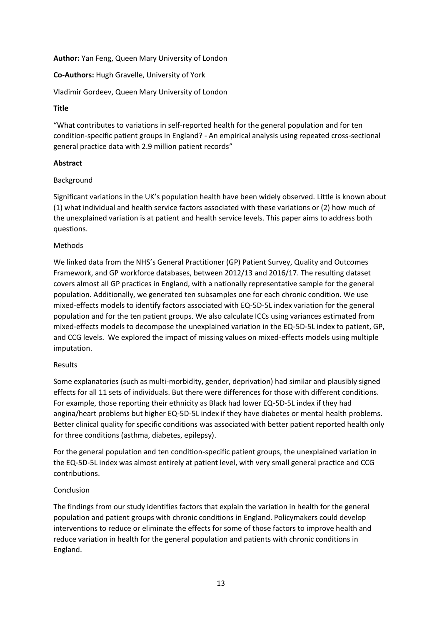# **Author:** Yan Feng, Queen Mary University of London

# **Co-Authors:** Hugh Gravelle, University of York

Vladimir Gordeev, Queen Mary University of London

#### **Title**

"What contributes to variations in self-reported health for the general population and for ten condition-specific patient groups in England? - An empirical analysis using repeated cross-sectional general practice data with 2.9 million patient records"

# **Abstract**

# Background

Significant variations in the UK's population health have been widely observed. Little is known about (1) what individual and health service factors associated with these variations or (2) how much of the unexplained variation is at patient and health service levels. This paper aims to address both questions.

# Methods

We linked data from the NHS's General Practitioner (GP) Patient Survey, Quality and Outcomes Framework, and GP workforce databases, between 2012/13 and 2016/17. The resulting dataset covers almost all GP practices in England, with a nationally representative sample for the general population. Additionally, we generated ten subsamples one for each chronic condition. We use mixed-effects models to identify factors associated with EQ-5D-5L index variation for the general population and for the ten patient groups. We also calculate ICCs using variances estimated from mixed-effects models to decompose the unexplained variation in the EQ-5D-5L index to patient, GP, and CCG levels. We explored the impact of missing values on mixed-effects models using multiple imputation.

#### Results

Some explanatories (such as multi-morbidity, gender, deprivation) had similar and plausibly signed effects for all 11 sets of individuals. But there were differences for those with different conditions. For example, those reporting their ethnicity as Black had lower EQ-5D-5L index if they had angina/heart problems but higher EQ-5D-5L index if they have diabetes or mental health problems. Better clinical quality for specific conditions was associated with better patient reported health only for three conditions (asthma, diabetes, epilepsy).

For the general population and ten condition-specific patient groups, the unexplained variation in the EQ-5D-5L index was almost entirely at patient level, with very small general practice and CCG contributions.

#### Conclusion

The findings from our study identifies factors that explain the variation in health for the general population and patient groups with chronic conditions in England. Policymakers could develop interventions to reduce or eliminate the effects for some of those factors to improve health and reduce variation in health for the general population and patients with chronic conditions in England.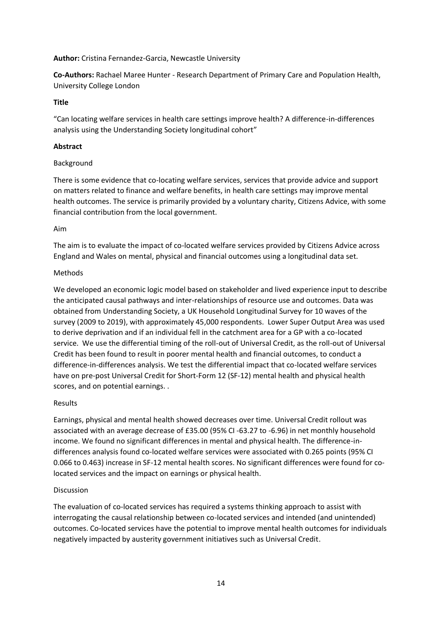# **Author:** Cristina Fernandez-Garcia, Newcastle University

**Co-Authors:** Rachael Maree Hunter - Research Department of Primary Care and Population Health, University College London

# **Title**

"Can locating welfare services in health care settings improve health? A difference-in-differences analysis using the Understanding Society longitudinal cohort"

#### **Abstract**

# Background

There is some evidence that co-locating welfare services, services that provide advice and support on matters related to finance and welfare benefits, in health care settings may improve mental health outcomes. The service is primarily provided by a voluntary charity, Citizens Advice, with some financial contribution from the local government.

#### Aim

The aim is to evaluate the impact of co-located welfare services provided by Citizens Advice across England and Wales on mental, physical and financial outcomes using a longitudinal data set.

# Methods

We developed an economic logic model based on stakeholder and lived experience input to describe the anticipated causal pathways and inter-relationships of resource use and outcomes. Data was obtained from Understanding Society, a UK Household Longitudinal Survey for 10 waves of the survey (2009 to 2019), with approximately 45,000 respondents. Lower Super Output Area was used to derive deprivation and if an individual fell in the catchment area for a GP with a co-located service. We use the differential timing of the roll-out of Universal Credit, as the roll-out of Universal Credit has been found to result in poorer mental health and financial outcomes, to conduct a difference-in-differences analysis. We test the differential impact that co-located welfare services have on pre-post Universal Credit for Short-Form 12 (SF-12) mental health and physical health scores, and on potential earnings. .

# Results

Earnings, physical and mental health showed decreases over time. Universal Credit rollout was associated with an average decrease of £35.00 (95% CI -63.27 to -6.96) in net monthly household income. We found no significant differences in mental and physical health. The difference-indifferences analysis found co-located welfare services were associated with 0.265 points (95% CI 0.066 to 0.463) increase in SF-12 mental health scores. No significant differences were found for colocated services and the impact on earnings or physical health.

# Discussion

The evaluation of co-located services has required a systems thinking approach to assist with interrogating the causal relationship between co-located services and intended (and unintended) outcomes. Co-located services have the potential to improve mental health outcomes for individuals negatively impacted by austerity government initiatives such as Universal Credit.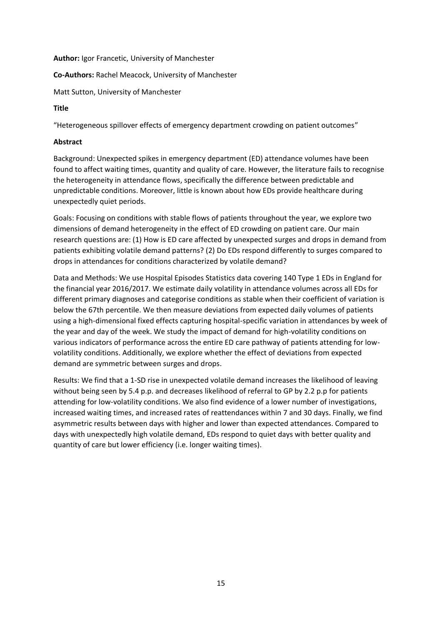# **Author:** Igor Francetic, University of Manchester

**Co-Authors:** Rachel Meacock, University of Manchester

Matt Sutton, University of Manchester

# **Title**

"Heterogeneous spillover effects of emergency department crowding on patient outcomes"

# **Abstract**

Background: Unexpected spikes in emergency department (ED) attendance volumes have been found to affect waiting times, quantity and quality of care. However, the literature fails to recognise the heterogeneity in attendance flows, specifically the difference between predictable and unpredictable conditions. Moreover, little is known about how EDs provide healthcare during unexpectedly quiet periods.

Goals: Focusing on conditions with stable flows of patients throughout the year, we explore two dimensions of demand heterogeneity in the effect of ED crowding on patient care. Our main research questions are: (1) How is ED care affected by unexpected surges and drops in demand from patients exhibiting volatile demand patterns? (2) Do EDs respond differently to surges compared to drops in attendances for conditions characterized by volatile demand?

Data and Methods: We use Hospital Episodes Statistics data covering 140 Type 1 EDs in England for the financial year 2016/2017. We estimate daily volatility in attendance volumes across all EDs for different primary diagnoses and categorise conditions as stable when their coefficient of variation is below the 67th percentile. We then measure deviations from expected daily volumes of patients using a high-dimensional fixed effects capturing hospital-specific variation in attendances by week of the year and day of the week. We study the impact of demand for high-volatility conditions on various indicators of performance across the entire ED care pathway of patients attending for lowvolatility conditions. Additionally, we explore whether the effect of deviations from expected demand are symmetric between surges and drops.

Results: We find that a 1-SD rise in unexpected volatile demand increases the likelihood of leaving without being seen by 5.4 p.p. and decreases likelihood of referral to GP by 2.2 p.p for patients attending for low-volatility conditions. We also find evidence of a lower number of investigations, increased waiting times, and increased rates of reattendances within 7 and 30 days. Finally, we find asymmetric results between days with higher and lower than expected attendances. Compared to days with unexpectedly high volatile demand, EDs respond to quiet days with better quality and quantity of care but lower efficiency (i.e. longer waiting times).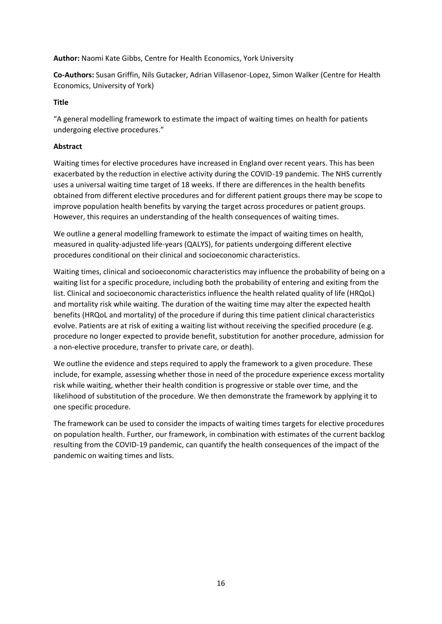**Author:** Naomi Kate Gibbs, Centre for Health Economics, York University

**Co-Authors:** Susan Griffin, Nils Gutacker, Adrian Villasenor-Lopez, Simon Walker (Centre for Health Economics, University of York)

# **Title**

"A general modelling framework to estimate the impact of waiting times on health for patients undergoing elective procedures."

# **Abstract**

Waiting times for elective procedures have increased in England over recent years. This has been exacerbated by the reduction in elective activity during the COVID-19 pandemic. The NHS currently uses a universal waiting time target of 18 weeks. If there are differences in the health benefits obtained from different elective procedures and for different patient groups there may be scope to improve population health benefits by varying the target across procedures or patient groups. However, this requires an understanding of the health consequences of waiting times.

We outline a general modelling framework to estimate the impact of waiting times on health, measured in quality-adjusted life-years (QALYS), for patients undergoing different elective procedures conditional on their clinical and socioeconomic characteristics.

Waiting times, clinical and socioeconomic characteristics may influence the probability of being on a waiting list for a specific procedure, including both the probability of entering and exiting from the list. Clinical and socioeconomic characteristics influence the health related quality of life (HRQoL) and mortality risk while waiting. The duration of the waiting time may alter the expected health benefits (HRQoL and mortality) of the procedure if during this time patient clinical characteristics evolve. Patients are at risk of exiting a waiting list without receiving the specified procedure (e.g. procedure no longer expected to provide benefit, substitution for another procedure, admission for a non-elective procedure, transfer to private care, or death).

We outline the evidence and steps required to apply the framework to a given procedure. These include, for example, assessing whether those in need of the procedure experience excess mortality risk while waiting, whether their health condition is progressive or stable over time, and the likelihood of substitution of the procedure. We then demonstrate the framework by applying it to one specific procedure.

The framework can be used to consider the impacts of waiting times targets for elective procedures on population health. Further, our framework, in combination with estimates of the current backlog resulting from the COVID-19 pandemic, can quantify the health consequences of the impact of the pandemic on waiting times and lists.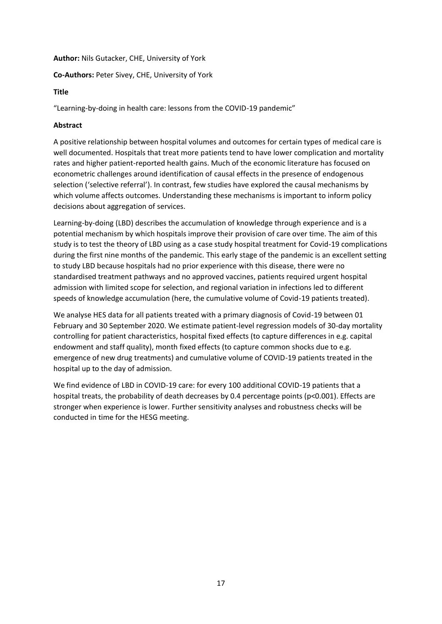# **Author:** Nils Gutacker, CHE, University of York

# **Co-Authors:** Peter Sivey, CHE, University of York

# **Title**

"Learning-by-doing in health care: lessons from the COVID-19 pandemic"

# **Abstract**

A positive relationship between hospital volumes and outcomes for certain types of medical care is well documented. Hospitals that treat more patients tend to have lower complication and mortality rates and higher patient-reported health gains. Much of the economic literature has focused on econometric challenges around identification of causal effects in the presence of endogenous selection ('selective referral'). In contrast, few studies have explored the causal mechanisms by which volume affects outcomes. Understanding these mechanisms is important to inform policy decisions about aggregation of services.

Learning-by-doing (LBD) describes the accumulation of knowledge through experience and is a potential mechanism by which hospitals improve their provision of care over time. The aim of this study is to test the theory of LBD using as a case study hospital treatment for Covid-19 complications during the first nine months of the pandemic. This early stage of the pandemic is an excellent setting to study LBD because hospitals had no prior experience with this disease, there were no standardised treatment pathways and no approved vaccines, patients required urgent hospital admission with limited scope for selection, and regional variation in infections led to different speeds of knowledge accumulation (here, the cumulative volume of Covid-19 patients treated).

We analyse HES data for all patients treated with a primary diagnosis of Covid-19 between 01 February and 30 September 2020. We estimate patient-level regression models of 30-day mortality controlling for patient characteristics, hospital fixed effects (to capture differences in e.g. capital endowment and staff quality), month fixed effects (to capture common shocks due to e.g. emergence of new drug treatments) and cumulative volume of COVID-19 patients treated in the hospital up to the day of admission.

We find evidence of LBD in COVID-19 care: for every 100 additional COVID-19 patients that a hospital treats, the probability of death decreases by 0.4 percentage points (p<0.001). Effects are stronger when experience is lower. Further sensitivity analyses and robustness checks will be conducted in time for the HESG meeting.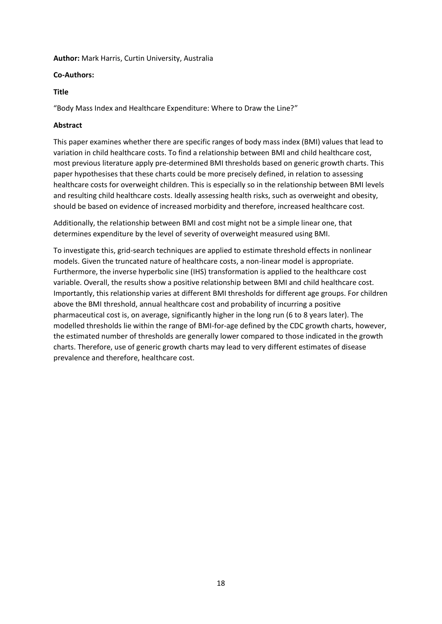#### **Author:** Mark Harris, Curtin University, Australia

# **Co-Authors:**

# **Title**

"Body Mass Index and Healthcare Expenditure: Where to Draw the Line?"

# **Abstract**

This paper examines whether there are specific ranges of body mass index (BMI) values that lead to variation in child healthcare costs. To find a relationship between BMI and child healthcare cost, most previous literature apply pre-determined BMI thresholds based on generic growth charts. This paper hypothesises that these charts could be more precisely defined, in relation to assessing healthcare costs for overweight children. This is especially so in the relationship between BMI levels and resulting child healthcare costs. Ideally assessing health risks, such as overweight and obesity, should be based on evidence of increased morbidity and therefore, increased healthcare cost.

Additionally, the relationship between BMI and cost might not be a simple linear one, that determines expenditure by the level of severity of overweight measured using BMI.

To investigate this, grid-search techniques are applied to estimate threshold effects in nonlinear models. Given the truncated nature of healthcare costs, a non-linear model is appropriate. Furthermore, the inverse hyperbolic sine (IHS) transformation is applied to the healthcare cost variable. Overall, the results show a positive relationship between BMI and child healthcare cost. Importantly, this relationship varies at different BMI thresholds for different age groups. For children above the BMI threshold, annual healthcare cost and probability of incurring a positive pharmaceutical cost is, on average, significantly higher in the long run (6 to 8 years later). The modelled thresholds lie within the range of BMI-for-age defined by the CDC growth charts, however, the estimated number of thresholds are generally lower compared to those indicated in the growth charts. Therefore, use of generic growth charts may lead to very different estimates of disease prevalence and therefore, healthcare cost.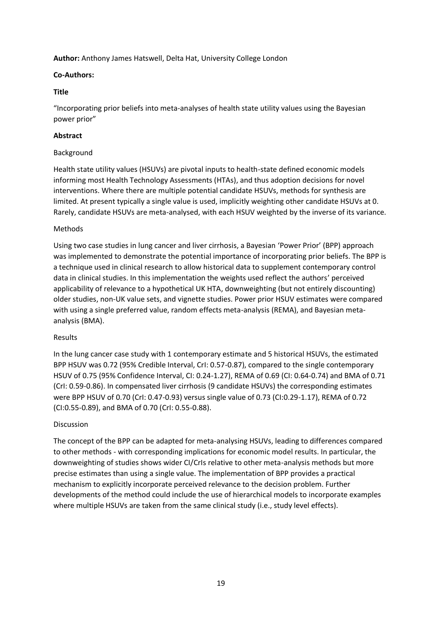**Author:** Anthony James Hatswell, Delta Hat, University College London

# **Co-Authors:**

# **Title**

"Incorporating prior beliefs into meta-analyses of health state utility values using the Bayesian power prior"

# **Abstract**

# Background

Health state utility values (HSUVs) are pivotal inputs to health-state defined economic models informing most Health Technology Assessments (HTAs), and thus adoption decisions for novel interventions. Where there are multiple potential candidate HSUVs, methods for synthesis are limited. At present typically a single value is used, implicitly weighting other candidate HSUVs at 0. Rarely, candidate HSUVs are meta-analysed, with each HSUV weighted by the inverse of its variance.

# Methods

Using two case studies in lung cancer and liver cirrhosis, a Bayesian 'Power Prior' (BPP) approach was implemented to demonstrate the potential importance of incorporating prior beliefs. The BPP is a technique used in clinical research to allow historical data to supplement contemporary control data in clinical studies. In this implementation the weights used reflect the authors' perceived applicability of relevance to a hypothetical UK HTA, downweighting (but not entirely discounting) older studies, non-UK value sets, and vignette studies. Power prior HSUV estimates were compared with using a single preferred value, random effects meta-analysis (REMA), and Bayesian metaanalysis (BMA).

#### Results

In the lung cancer case study with 1 contemporary estimate and 5 historical HSUVs, the estimated BPP HSUV was 0.72 (95% Credible Interval, CrI: 0.57-0.87), compared to the single contemporary HSUV of 0.75 (95% Confidence Interval, CI: 0.24-1.27), REMA of 0.69 (CI: 0.64-0.74) and BMA of 0.71 (CrI: 0.59-0.86). In compensated liver cirrhosis (9 candidate HSUVs) the corresponding estimates were BPP HSUV of 0.70 (CrI: 0.47-0.93) versus single value of 0.73 (CI:0.29-1.17), REMA of 0.72 (CI:0.55-0.89), and BMA of 0.70 (CrI: 0.55-0.88).

# Discussion

The concept of the BPP can be adapted for meta-analysing HSUVs, leading to differences compared to other methods - with corresponding implications for economic model results. In particular, the downweighting of studies shows wider CI/CrIs relative to other meta-analysis methods but more precise estimates than using a single value. The implementation of BPP provides a practical mechanism to explicitly incorporate perceived relevance to the decision problem. Further developments of the method could include the use of hierarchical models to incorporate examples where multiple HSUVs are taken from the same clinical study (i.e., study level effects).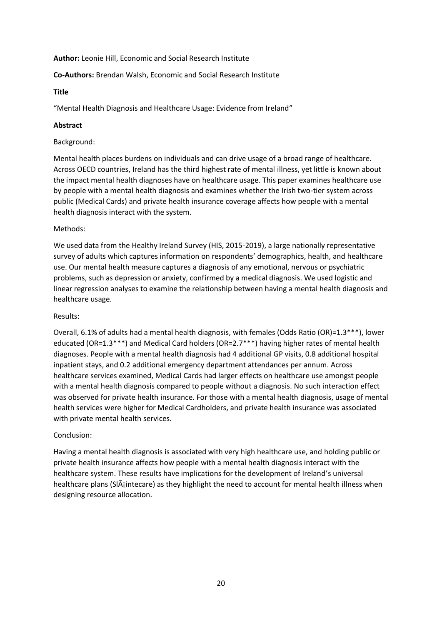#### **Author:** Leonie Hill, Economic and Social Research Institute

# **Co-Authors:** Brendan Walsh, Economic and Social Research Institute

#### **Title**

"Mental Health Diagnosis and Healthcare Usage: Evidence from Ireland"

# **Abstract**

#### Background:

Mental health places burdens on individuals and can drive usage of a broad range of healthcare. Across OECD countries, Ireland has the third highest rate of mental illness, yet little is known about the impact mental health diagnoses have on healthcare usage. This paper examines healthcare use by people with a mental health diagnosis and examines whether the Irish two-tier system across public (Medical Cards) and private health insurance coverage affects how people with a mental health diagnosis interact with the system.

# Methods:

We used data from the Healthy Ireland Survey (HIS, 2015-2019), a large nationally representative survey of adults which captures information on respondents' demographics, health, and healthcare use. Our mental health measure captures a diagnosis of any emotional, nervous or psychiatric problems, such as depression or anxiety, confirmed by a medical diagnosis. We used logistic and linear regression analyses to examine the relationship between having a mental health diagnosis and healthcare usage.

#### Results:

Overall, 6.1% of adults had a mental health diagnosis, with females (Odds Ratio (OR)=1.3\*\*\*), lower educated (OR=1.3\*\*\*) and Medical Card holders (OR=2.7\*\*\*) having higher rates of mental health diagnoses. People with a mental health diagnosis had 4 additional GP visits, 0.8 additional hospital inpatient stays, and 0.2 additional emergency department attendances per annum. Across healthcare services examined, Medical Cards had larger effects on healthcare use amongst people with a mental health diagnosis compared to people without a diagnosis. No such interaction effect was observed for private health insurance. For those with a mental health diagnosis, usage of mental health services were higher for Medical Cardholders, and private health insurance was associated with private mental health services.

#### Conclusion:

Having a mental health diagnosis is associated with very high healthcare use, and holding public or private health insurance affects how people with a mental health diagnosis interact with the healthcare system. These results have implications for the development of Ireland's universal healthcare plans (Sláintecare) as they highlight the need to account for mental health illness when designing resource allocation.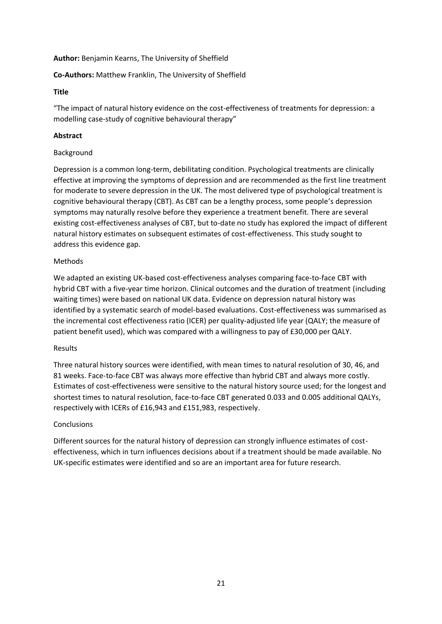# **Author:** Benjamin Kearns, The University of Sheffield

# **Co-Authors:** Matthew Franklin, The University of Sheffield

# **Title**

"The impact of natural history evidence on the cost-effectiveness of treatments for depression: a modelling case-study of cognitive behavioural therapy"

# **Abstract**

# Background

Depression is a common long-term, debilitating condition. Psychological treatments are clinically effective at improving the symptoms of depression and are recommended as the first line treatment for moderate to severe depression in the UK. The most delivered type of psychological treatment is cognitive behavioural therapy (CBT). As CBT can be a lengthy process, some people's depression symptoms may naturally resolve before they experience a treatment benefit. There are several existing cost-effectiveness analyses of CBT, but to-date no study has explored the impact of different natural history estimates on subsequent estimates of cost-effectiveness. This study sought to address this evidence gap.

# Methods

We adapted an existing UK-based cost-effectiveness analyses comparing face-to-face CBT with hybrid CBT with a five-year time horizon. Clinical outcomes and the duration of treatment (including waiting times) were based on national UK data. Evidence on depression natural history was identified by a systematic search of model-based evaluations. Cost-effectiveness was summarised as the incremental cost effectiveness ratio (ICER) per quality-adjusted life year (QALY; the measure of patient benefit used), which was compared with a willingness to pay of £30,000 per QALY.

#### Results

Three natural history sources were identified, with mean times to natural resolution of 30, 46, and 81 weeks. Face-to-face CBT was always more effective than hybrid CBT and always more costly. Estimates of cost-effectiveness were sensitive to the natural history source used; for the longest and shortest times to natural resolution, face-to-face CBT generated 0.033 and 0.005 additional QALYs, respectively with ICERs of £16,943 and £151,983, respectively.

# Conclusions

Different sources for the natural history of depression can strongly influence estimates of costeffectiveness, which in turn influences decisions about if a treatment should be made available. No UK-specific estimates were identified and so are an important area for future research.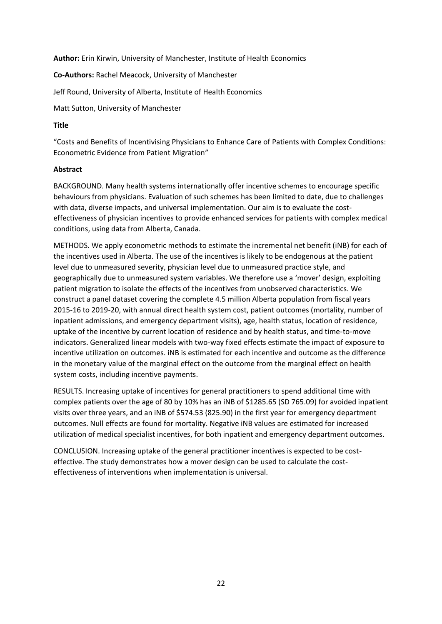**Author:** Erin Kirwin, University of Manchester, Institute of Health Economics

**Co-Authors:** Rachel Meacock, University of Manchester

Jeff Round, University of Alberta, Institute of Health Economics

Matt Sutton, University of Manchester

# **Title**

"Costs and Benefits of Incentivising Physicians to Enhance Care of Patients with Complex Conditions: Econometric Evidence from Patient Migration"

# **Abstract**

BACKGROUND. Many health systems internationally offer incentive schemes to encourage specific behaviours from physicians. Evaluation of such schemes has been limited to date, due to challenges with data, diverse impacts, and universal implementation. Our aim is to evaluate the costeffectiveness of physician incentives to provide enhanced services for patients with complex medical conditions, using data from Alberta, Canada.

METHODS. We apply econometric methods to estimate the incremental net benefit (iNB) for each of the incentives used in Alberta. The use of the incentives is likely to be endogenous at the patient level due to unmeasured severity, physician level due to unmeasured practice style, and geographically due to unmeasured system variables. We therefore use a 'mover' design, exploiting patient migration to isolate the effects of the incentives from unobserved characteristics. We construct a panel dataset covering the complete 4.5 million Alberta population from fiscal years 2015-16 to 2019-20, with annual direct health system cost, patient outcomes (mortality, number of inpatient admissions, and emergency department visits), age, health status, location of residence, uptake of the incentive by current location of residence and by health status, and time-to-move indicators. Generalized linear models with two-way fixed effects estimate the impact of exposure to incentive utilization on outcomes. iNB is estimated for each incentive and outcome as the difference in the monetary value of the marginal effect on the outcome from the marginal effect on health system costs, including incentive payments.

RESULTS. Increasing uptake of incentives for general practitioners to spend additional time with complex patients over the age of 80 by 10% has an iNB of \$1285.65 (SD 765.09) for avoided inpatient visits over three years, and an iNB of \$574.53 (825.90) in the first year for emergency department outcomes. Null effects are found for mortality. Negative iNB values are estimated for increased utilization of medical specialist incentives, for both inpatient and emergency department outcomes.

CONCLUSION. Increasing uptake of the general practitioner incentives is expected to be costeffective. The study demonstrates how a mover design can be used to calculate the costeffectiveness of interventions when implementation is universal.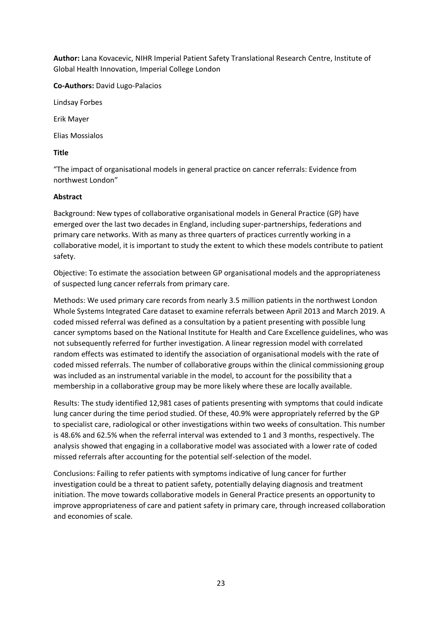**Author:** Lana Kovacevic, NIHR Imperial Patient Safety Translational Research Centre, Institute of Global Health Innovation, Imperial College London

**Co-Authors:** David Lugo-Palacios

Lindsay Forbes

Erik Mayer

Elias Mossialos

# **Title**

"The impact of organisational models in general practice on cancer referrals: Evidence from northwest London"

# **Abstract**

Background: New types of collaborative organisational models in General Practice (GP) have emerged over the last two decades in England, including super-partnerships, federations and primary care networks. With as many as three quarters of practices currently working in a collaborative model, it is important to study the extent to which these models contribute to patient safety.

Objective: To estimate the association between GP organisational models and the appropriateness of suspected lung cancer referrals from primary care.

Methods: We used primary care records from nearly 3.5 million patients in the northwest London Whole Systems Integrated Care dataset to examine referrals between April 2013 and March 2019. A coded missed referral was defined as a consultation by a patient presenting with possible lung cancer symptoms based on the National Institute for Health and Care Excellence guidelines, who was not subsequently referred for further investigation. A linear regression model with correlated random effects was estimated to identify the association of organisational models with the rate of coded missed referrals. The number of collaborative groups within the clinical commissioning group was included as an instrumental variable in the model, to account for the possibility that a membership in a collaborative group may be more likely where these are locally available.

Results: The study identified 12,981 cases of patients presenting with symptoms that could indicate lung cancer during the time period studied. Of these, 40.9% were appropriately referred by the GP to specialist care, radiological or other investigations within two weeks of consultation. This number is 48.6% and 62.5% when the referral interval was extended to 1 and 3 months, respectively. The analysis showed that engaging in a collaborative model was associated with a lower rate of coded missed referrals after accounting for the potential self-selection of the model.

Conclusions: Failing to refer patients with symptoms indicative of lung cancer for further investigation could be a threat to patient safety, potentially delaying diagnosis and treatment initiation. The move towards collaborative models in General Practice presents an opportunity to improve appropriateness of care and patient safety in primary care, through increased collaboration and economies of scale.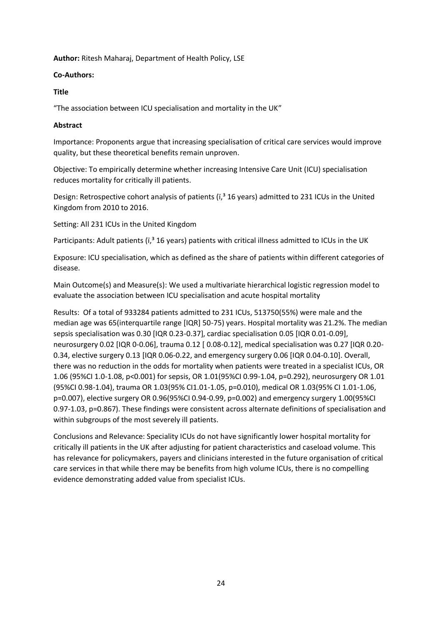**Author:** Ritesh Maharaj, Department of Health Policy, LSE

# **Co-Authors:**

# **Title**

"The association between ICU specialisation and mortality in the UK"

# **Abstract**

Importance: Proponents argue that increasing specialisation of critical care services would improve quality, but these theoretical benefits remain unproven.

Objective: To empirically determine whether increasing Intensive Care Unit (ICU) specialisation reduces mortality for critically ill patients.

Design: Retrospective cohort analysis of patients ( $\overline{I}$ ,<sup>3</sup> 16 years) admitted to 231 ICUs in the United Kingdom from 2010 to 2016.

Setting: All 231 ICUs in the United Kingdom

Participants: Adult patients ( $\tilde{i}$ ,  $\tilde{j}$  16 years) patients with critical illness admitted to ICUs in the UK

Exposure: ICU specialisation, which as defined as the share of patients within different categories of disease.

Main Outcome(s) and Measure(s): We used a multivariate hierarchical logistic regression model to evaluate the association between ICU specialisation and acute hospital mortality

Results: Of a total of 933284 patients admitted to 231 ICUs, 513750(55%) were male and the median age was 65(interquartile range [IQR] 50-75) years. Hospital mortality was 21.2%. The median sepsis specialisation was 0.30 [IQR 0.23-0.37], cardiac specialisation 0.05 [IQR 0.01-0.09], neurosurgery 0.02 [IQR 0-0.06], trauma 0.12 [ 0.08-0.12], medical specialisation was 0.27 [IQR 0.20- 0.34, elective surgery 0.13 [IQR 0.06-0.22, and emergency surgery 0.06 [IQR 0.04-0.10]. Overall, there was no reduction in the odds for mortality when patients were treated in a specialist ICUs, OR 1.06 (95%CI 1.0-1.08, p<0.001) for sepsis, OR 1.01(95%CI 0.99-1.04, p=0.292), neurosurgery OR 1.01 (95%CI 0.98-1.04), trauma OR 1.03(95% CI1.01-1.05, p=0.010), medical OR 1.03(95% CI 1.01-1.06, p=0.007), elective surgery OR 0.96(95%CI 0.94-0.99, p=0.002) and emergency surgery 1.00(95%CI 0.97-1.03, p=0.867). These findings were consistent across alternate definitions of specialisation and within subgroups of the most severely ill patients.

Conclusions and Relevance: Speciality ICUs do not have significantly lower hospital mortality for critically ill patients in the UK after adjusting for patient characteristics and caseload volume. This has relevance for policymakers, payers and clinicians interested in the future organisation of critical care services in that while there may be benefits from high volume ICUs, there is no compelling evidence demonstrating added value from specialist ICUs.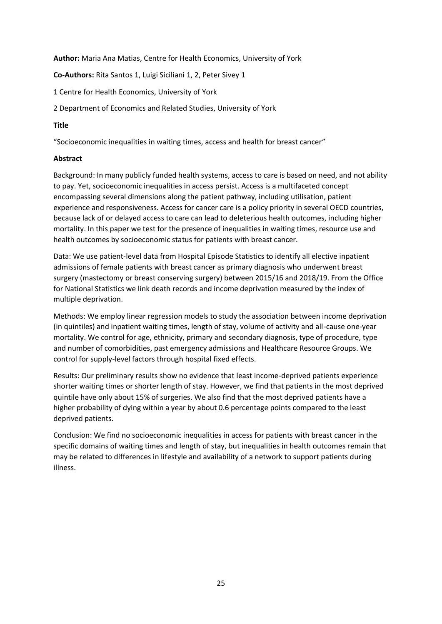**Author:** Maria Ana Matias, Centre for Health Economics, University of York

**Co-Authors:** Rita Santos 1, Luigi Siciliani 1, 2, Peter Sivey 1

1 Centre for Health Economics, University of York

2 Department of Economics and Related Studies, University of York

# **Title**

"Socioeconomic inequalities in waiting times, access and health for breast cancer"

# **Abstract**

Background: In many publicly funded health systems, access to care is based on need, and not ability to pay. Yet, socioeconomic inequalities in access persist. Access is a multifaceted concept encompassing several dimensions along the patient pathway, including utilisation, patient experience and responsiveness. Access for cancer care is a policy priority in several OECD countries, because lack of or delayed access to care can lead to deleterious health outcomes, including higher mortality. In this paper we test for the presence of inequalities in waiting times, resource use and health outcomes by socioeconomic status for patients with breast cancer.

Data: We use patient-level data from Hospital Episode Statistics to identify all elective inpatient admissions of female patients with breast cancer as primary diagnosis who underwent breast surgery (mastectomy or breast conserving surgery) between 2015/16 and 2018/19. From the Office for National Statistics we link death records and income deprivation measured by the index of multiple deprivation.

Methods: We employ linear regression models to study the association between income deprivation (in quintiles) and inpatient waiting times, length of stay, volume of activity and all-cause one-year mortality. We control for age, ethnicity, primary and secondary diagnosis, type of procedure, type and number of comorbidities, past emergency admissions and Healthcare Resource Groups. We control for supply-level factors through hospital fixed effects.

Results: Our preliminary results show no evidence that least income-deprived patients experience shorter waiting times or shorter length of stay. However, we find that patients in the most deprived quintile have only about 15% of surgeries. We also find that the most deprived patients have a higher probability of dying within a year by about 0.6 percentage points compared to the least deprived patients.

Conclusion: We find no socioeconomic inequalities in access for patients with breast cancer in the specific domains of waiting times and length of stay, but inequalities in health outcomes remain that may be related to differences in lifestyle and availability of a network to support patients during illness.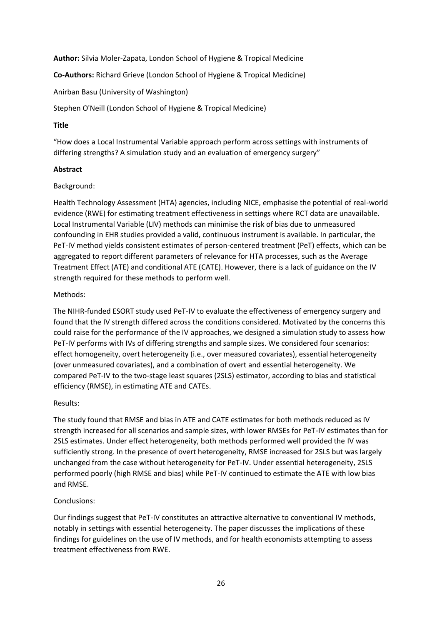**Author:** Silvia Moler-Zapata, London School of Hygiene & Tropical Medicine

**Co-Authors:** Richard Grieve (London School of Hygiene & Tropical Medicine)

Anirban Basu (University of Washington)

Stephen O'Neill (London School of Hygiene & Tropical Medicine)

# **Title**

"How does a Local Instrumental Variable approach perform across settings with instruments of differing strengths? A simulation study and an evaluation of emergency surgery"

# **Abstract**

# Background:

Health Technology Assessment (HTA) agencies, including NICE, emphasise the potential of real-world evidence (RWE) for estimating treatment effectiveness in settings where RCT data are unavailable. Local Instrumental Variable (LIV) methods can minimise the risk of bias due to unmeasured confounding in EHR studies provided a valid, continuous instrument is available. In particular, the PeT-IV method yields consistent estimates of person-centered treatment (PeT) effects, which can be aggregated to report different parameters of relevance for HTA processes, such as the Average Treatment Effect (ATE) and conditional ATE (CATE). However, there is a lack of guidance on the IV strength required for these methods to perform well.

# Methods:

The NIHR-funded ESORT study used PeT-IV to evaluate the effectiveness of emergency surgery and found that the IV strength differed across the conditions considered. Motivated by the concerns this could raise for the performance of the IV approaches, we designed a simulation study to assess how PeT-IV performs with IVs of differing strengths and sample sizes. We considered four scenarios: effect homogeneity, overt heterogeneity (i.e., over measured covariates), essential heterogeneity (over unmeasured covariates), and a combination of overt and essential heterogeneity. We compared PeT-IV to the two-stage least squares (2SLS) estimator, according to bias and statistical efficiency (RMSE), in estimating ATE and CATEs.

# Results:

The study found that RMSE and bias in ATE and CATE estimates for both methods reduced as IV strength increased for all scenarios and sample sizes, with lower RMSEs for PeT-IV estimates than for 2SLS estimates. Under effect heterogeneity, both methods performed well provided the IV was sufficiently strong. In the presence of overt heterogeneity, RMSE increased for 2SLS but was largely unchanged from the case without heterogeneity for PeT-IV. Under essential heterogeneity, 2SLS performed poorly (high RMSE and bias) while PeT-IV continued to estimate the ATE with low bias and RMSE.

# Conclusions:

Our findings suggest that PeT-IV constitutes an attractive alternative to conventional IV methods, notably in settings with essential heterogeneity. The paper discusses the implications of these findings for guidelines on the use of IV methods, and for health economists attempting to assess treatment effectiveness from RWE.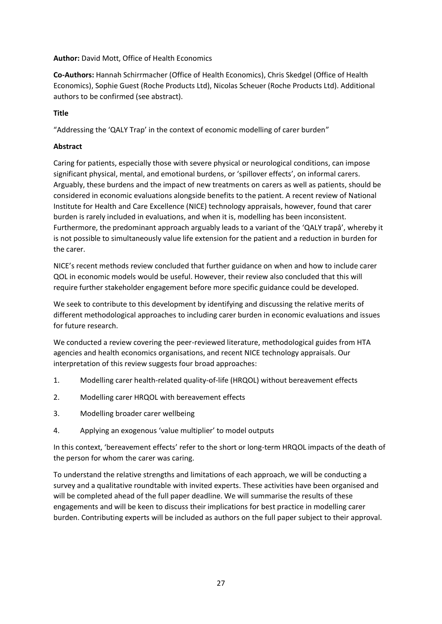# **Author:** David Mott, Office of Health Economics

**Co-Authors:** Hannah Schirrmacher (Office of Health Economics), Chris Skedgel (Office of Health Economics), Sophie Guest (Roche Products Ltd), Nicolas Scheuer (Roche Products Ltd). Additional authors to be confirmed (see abstract).

# **Title**

"Addressing the 'QALY Trap' in the context of economic modelling of carer burden"

# **Abstract**

Caring for patients, especially those with severe physical or neurological conditions, can impose significant physical, mental, and emotional burdens, or 'spillover effects', on informal carers. Arguably, these burdens and the impact of new treatments on carers as well as patients, should be considered in economic evaluations alongside benefits to the patient. A recent review of National Institute for Health and Care Excellence (NICE) technology appraisals, however, found that carer burden is rarely included in evaluations, and when it is, modelling has been inconsistent. Furthermore, the predominant approach arguably leads to a variant of the 'QALY trapâ', whereby it is not possible to simultaneously value life extension for the patient and a reduction in burden for the carer.

NICE's recent methods review concluded that further guidance on when and how to include carer QOL in economic models would be useful. However, their review also concluded that this will require further stakeholder engagement before more specific guidance could be developed.

We seek to contribute to this development by identifying and discussing the relative merits of different methodological approaches to including carer burden in economic evaluations and issues for future research.

We conducted a review covering the peer-reviewed literature, methodological guides from HTA agencies and health economics organisations, and recent NICE technology appraisals. Our interpretation of this review suggests four broad approaches:

- 1. Modelling carer health-related quality-of-life (HRQOL) without bereavement effects
- 2. Modelling carer HRQOL with bereavement effects
- 3. Modelling broader carer wellbeing
- 4. Applying an exogenous 'value multiplier' to model outputs

In this context, 'bereavement effects' refer to the short or long-term HRQOL impacts of the death of the person for whom the carer was caring.

To understand the relative strengths and limitations of each approach, we will be conducting a survey and a qualitative roundtable with invited experts. These activities have been organised and will be completed ahead of the full paper deadline. We will summarise the results of these engagements and will be keen to discuss their implications for best practice in modelling carer burden. Contributing experts will be included as authors on the full paper subject to their approval.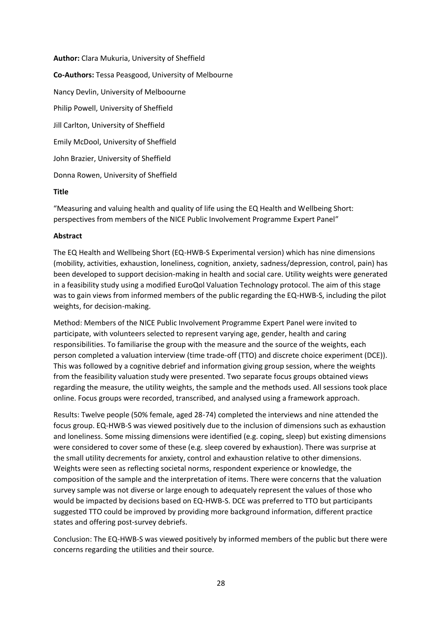**Author:** Clara Mukuria, University of Sheffield **Co-Authors:** Tessa Peasgood, University of Melbourne Nancy Devlin, University of Melboourne Philip Powell, University of Sheffield Jill Carlton, University of Sheffield Emily McDool, University of Sheffield John Brazier, University of Sheffield Donna Rowen, University of Sheffield

#### **Title**

"Measuring and valuing health and quality of life using the EQ Health and Wellbeing Short: perspectives from members of the NICE Public Involvement Programme Expert Panel"

# **Abstract**

The EQ Health and Wellbeing Short (EQ-HWB-S Experimental version) which has nine dimensions (mobility, activities, exhaustion, loneliness, cognition, anxiety, sadness/depression, control, pain) has been developed to support decision-making in health and social care. Utility weights were generated in a feasibility study using a modified EuroQol Valuation Technology protocol. The aim of this stage was to gain views from informed members of the public regarding the EQ-HWB-S, including the pilot weights, for decision-making.

Method: Members of the NICE Public Involvement Programme Expert Panel were invited to participate, with volunteers selected to represent varying age, gender, health and caring responsibilities. To familiarise the group with the measure and the source of the weights, each person completed a valuation interview (time trade-off (TTO) and discrete choice experiment (DCE)). This was followed by a cognitive debrief and information giving group session, where the weights from the feasibility valuation study were presented. Two separate focus groups obtained views regarding the measure, the utility weights, the sample and the methods used. All sessions took place online. Focus groups were recorded, transcribed, and analysed using a framework approach.

Results: Twelve people (50% female, aged 28-74) completed the interviews and nine attended the focus group. EQ-HWB-S was viewed positively due to the inclusion of dimensions such as exhaustion and loneliness. Some missing dimensions were identified (e.g. coping, sleep) but existing dimensions were considered to cover some of these (e.g. sleep covered by exhaustion). There was surprise at the small utility decrements for anxiety, control and exhaustion relative to other dimensions. Weights were seen as reflecting societal norms, respondent experience or knowledge, the composition of the sample and the interpretation of items. There were concerns that the valuation survey sample was not diverse or large enough to adequately represent the values of those who would be impacted by decisions based on EQ-HWB-S. DCE was preferred to TTO but participants suggested TTO could be improved by providing more background information, different practice states and offering post-survey debriefs.

Conclusion: The EQ-HWB-S was viewed positively by informed members of the public but there were concerns regarding the utilities and their source.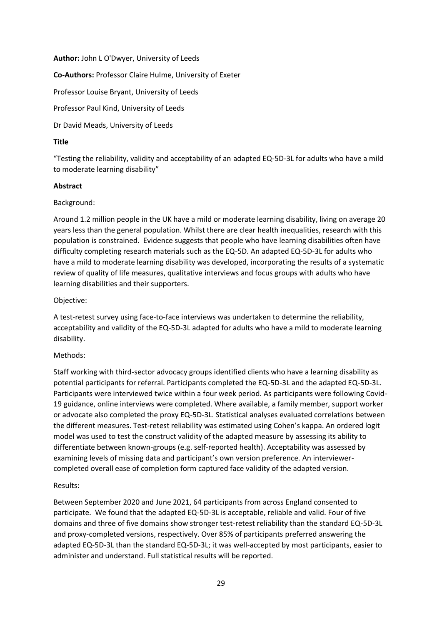**Author:** John L O'Dwyer, University of Leeds

**Co-Authors:** Professor Claire Hulme, University of Exeter

Professor Louise Bryant, University of Leeds

Professor Paul Kind, University of Leeds

Dr David Meads, University of Leeds

# **Title**

"Testing the reliability, validity and acceptability of an adapted EQ-5D-3L for adults who have a mild to moderate learning disability"

# **Abstract**

# Background:

Around 1.2 million people in the UK have a mild or moderate learning disability, living on average 20 years less than the general population. Whilst there are clear health inequalities, research with this population is constrained. Evidence suggests that people who have learning disabilities often have difficulty completing research materials such as the EQ-5D. An adapted EQ-5D-3L for adults who have a mild to moderate learning disability was developed, incorporating the results of a systematic review of quality of life measures, qualitative interviews and focus groups with adults who have learning disabilities and their supporters.

# Objective:

A test-retest survey using face-to-face interviews was undertaken to determine the reliability, acceptability and validity of the EQ-5D-3L adapted for adults who have a mild to moderate learning disability.

# Methods:

Staff working with third-sector advocacy groups identified clients who have a learning disability as potential participants for referral. Participants completed the EQ-5D-3L and the adapted EQ-5D-3L. Participants were interviewed twice within a four week period. As participants were following Covid-19 guidance, online interviews were completed. Where available, a family member, support worker or advocate also completed the proxy EQ-5D-3L. Statistical analyses evaluated correlations between the different measures. Test-retest reliability was estimated using Cohen's kappa. An ordered logit model was used to test the construct validity of the adapted measure by assessing its ability to differentiate between known-groups (e.g. self-reported health). Acceptability was assessed by examining levels of missing data and participant's own version preference. An interviewercompleted overall ease of completion form captured face validity of the adapted version.

#### Results:

Between September 2020 and June 2021, 64 participants from across England consented to participate. We found that the adapted EQ-5D-3L is acceptable, reliable and valid. Four of five domains and three of five domains show stronger test-retest reliability than the standard EQ-5D-3L and proxy-completed versions, respectively. Over 85% of participants preferred answering the adapted EQ-5D-3L than the standard EQ-5D-3L; it was well-accepted by most participants, easier to administer and understand. Full statistical results will be reported.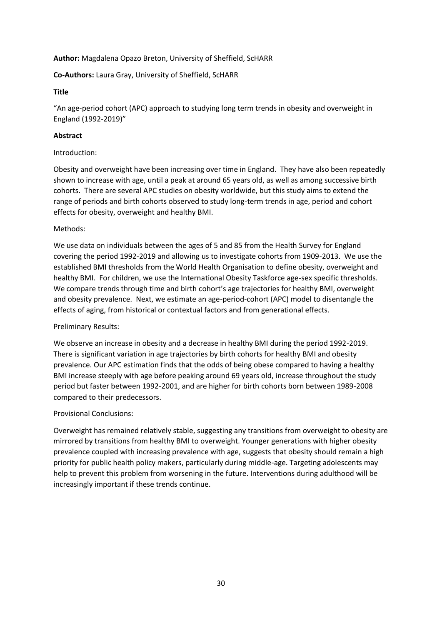# **Author:** Magdalena Opazo Breton, University of Sheffield, ScHARR

**Co-Authors:** Laura Gray, University of Sheffield, ScHARR

# **Title**

"An age-period cohort (APC) approach to studying long term trends in obesity and overweight in England (1992-2019)"

# **Abstract**

#### Introduction:

Obesity and overweight have been increasing over time in England. They have also been repeatedly shown to increase with age, until a peak at around 65 years old, as well as among successive birth cohorts. There are several APC studies on obesity worldwide, but this study aims to extend the range of periods and birth cohorts observed to study long-term trends in age, period and cohort effects for obesity, overweight and healthy BMI.

# Methods:

We use data on individuals between the ages of 5 and 85 from the Health Survey for England covering the period 1992-2019 and allowing us to investigate cohorts from 1909-2013. We use the established BMI thresholds from the World Health Organisation to define obesity, overweight and healthy BMI. For children, we use the International Obesity Taskforce age-sex specific thresholds. We compare trends through time and birth cohort's age trajectories for healthy BMI, overweight and obesity prevalence. Next, we estimate an age-period-cohort (APC) model to disentangle the effects of aging, from historical or contextual factors and from generational effects.

# Preliminary Results:

We observe an increase in obesity and a decrease in healthy BMI during the period 1992-2019. There is significant variation in age trajectories by birth cohorts for healthy BMI and obesity prevalence. Our APC estimation finds that the odds of being obese compared to having a healthy BMI increase steeply with age before peaking around 69 years old, increase throughout the study period but faster between 1992-2001, and are higher for birth cohorts born between 1989-2008 compared to their predecessors.

# Provisional Conclusions:

Overweight has remained relatively stable, suggesting any transitions from overweight to obesity are mirrored by transitions from healthy BMI to overweight. Younger generations with higher obesity prevalence coupled with increasing prevalence with age, suggests that obesity should remain a high priority for public health policy makers, particularly during middle-age. Targeting adolescents may help to prevent this problem from worsening in the future. Interventions during adulthood will be increasingly important if these trends continue.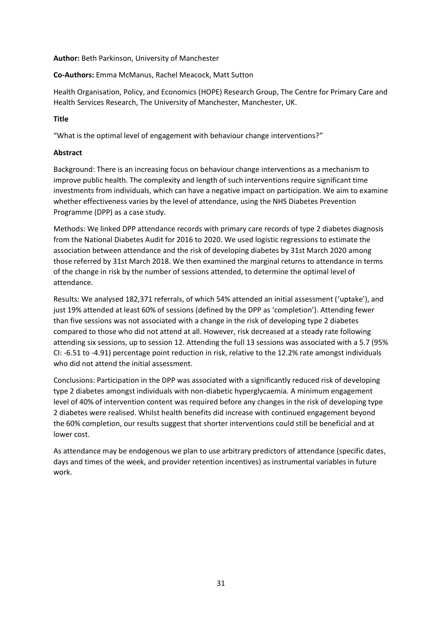**Author:** Beth Parkinson, University of Manchester

# **Co-Authors:** Emma McManus, Rachel Meacock, Matt Sutton

Health Organisation, Policy, and Economics (HOPE) Research Group, The Centre for Primary Care and Health Services Research, The University of Manchester, Manchester, UK.

# **Title**

"What is the optimal level of engagement with behaviour change interventions?"

# **Abstract**

Background: There is an increasing focus on behaviour change interventions as a mechanism to improve public health. The complexity and length of such interventions require significant time investments from individuals, which can have a negative impact on participation. We aim to examine whether effectiveness varies by the level of attendance, using the NHS Diabetes Prevention Programme (DPP) as a case study.

Methods: We linked DPP attendance records with primary care records of type 2 diabetes diagnosis from the National Diabetes Audit for 2016 to 2020. We used logistic regressions to estimate the association between attendance and the risk of developing diabetes by 31st March 2020 among those referred by 31st March 2018. We then examined the marginal returns to attendance in terms of the change in risk by the number of sessions attended, to determine the optimal level of attendance.

Results: We analysed 182,371 referrals, of which 54% attended an initial assessment ('uptake'), and just 19% attended at least 60% of sessions (defined by the DPP as 'completion'). Attending fewer than five sessions was not associated with a change in the risk of developing type 2 diabetes compared to those who did not attend at all. However, risk decreased at a steady rate following attending six sessions, up to session 12. Attending the full 13 sessions was associated with a 5.7 (95% CI: -6.51 to -4.91) percentage point reduction in risk, relative to the 12.2% rate amongst individuals who did not attend the initial assessment.

Conclusions: Participation in the DPP was associated with a significantly reduced risk of developing type 2 diabetes amongst individuals with non-diabetic hyperglycaemia. A minimum engagement level of 40% of intervention content was required before any changes in the risk of developing type 2 diabetes were realised. Whilst health benefits did increase with continued engagement beyond the 60% completion, our results suggest that shorter interventions could still be beneficial and at lower cost.

As attendance may be endogenous we plan to use arbitrary predictors of attendance (specific dates, days and times of the week, and provider retention incentives) as instrumental variables in future work.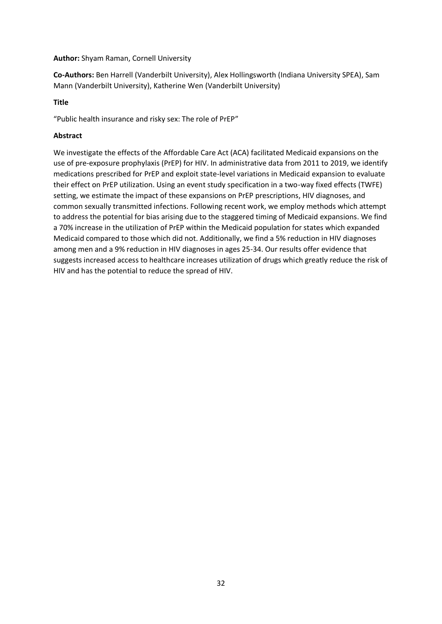# **Author:** Shyam Raman, Cornell University

**Co-Authors:** Ben Harrell (Vanderbilt University), Alex Hollingsworth (Indiana University SPEA), Sam Mann (Vanderbilt University), Katherine Wen (Vanderbilt University)

# **Title**

"Public health insurance and risky sex: The role of PrEP"

# **Abstract**

We investigate the effects of the Affordable Care Act (ACA) facilitated Medicaid expansions on the use of pre-exposure prophylaxis (PrEP) for HIV. In administrative data from 2011 to 2019, we identify medications prescribed for PrEP and exploit state-level variations in Medicaid expansion to evaluate their effect on PrEP utilization. Using an event study specification in a two-way fixed effects (TWFE) setting, we estimate the impact of these expansions on PrEP prescriptions, HIV diagnoses, and common sexually transmitted infections. Following recent work, we employ methods which attempt to address the potential for bias arising due to the staggered timing of Medicaid expansions. We find a 70% increase in the utilization of PrEP within the Medicaid population for states which expanded Medicaid compared to those which did not. Additionally, we find a 5% reduction in HIV diagnoses among men and a 9% reduction in HIV diagnoses in ages 25-34. Our results offer evidence that suggests increased access to healthcare increases utilization of drugs which greatly reduce the risk of HIV and has the potential to reduce the spread of HIV.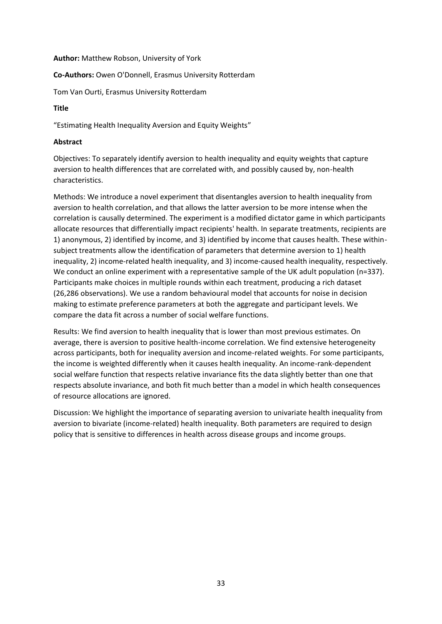#### **Author:** Matthew Robson, University of York

#### **Co-Authors:** Owen O'Donnell, Erasmus University Rotterdam

Tom Van Ourti, Erasmus University Rotterdam

# **Title**

"Estimating Health Inequality Aversion and Equity Weights"

# **Abstract**

Objectives: To separately identify aversion to health inequality and equity weights that capture aversion to health differences that are correlated with, and possibly caused by, non-health characteristics.

Methods: We introduce a novel experiment that disentangles aversion to health inequality from aversion to health correlation, and that allows the latter aversion to be more intense when the correlation is causally determined. The experiment is a modified dictator game in which participants allocate resources that differentially impact recipients' health. In separate treatments, recipients are 1) anonymous, 2) identified by income, and 3) identified by income that causes health. These withinsubject treatments allow the identification of parameters that determine aversion to 1) health inequality, 2) income-related health inequality, and 3) income-caused health inequality, respectively. We conduct an online experiment with a representative sample of the UK adult population (n=337). Participants make choices in multiple rounds within each treatment, producing a rich dataset (26,286 observations). We use a random behavioural model that accounts for noise in decision making to estimate preference parameters at both the aggregate and participant levels. We compare the data fit across a number of social welfare functions.

Results: We find aversion to health inequality that is lower than most previous estimates. On average, there is aversion to positive health-income correlation. We find extensive heterogeneity across participants, both for inequality aversion and income-related weights. For some participants, the income is weighted differently when it causes health inequality. An income-rank-dependent social welfare function that respects relative invariance fits the data slightly better than one that respects absolute invariance, and both fit much better than a model in which health consequences of resource allocations are ignored.

Discussion: We highlight the importance of separating aversion to univariate health inequality from aversion to bivariate (income-related) health inequality. Both parameters are required to design policy that is sensitive to differences in health across disease groups and income groups.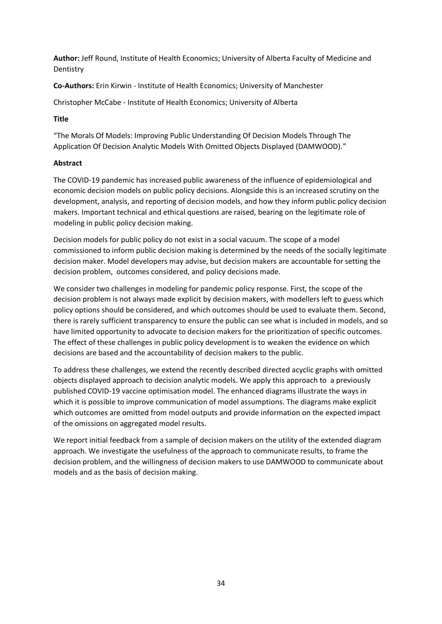**Author:** Jeff Round, Institute of Health Economics; University of Alberta Faculty of Medicine and Dentistry

**Co-Authors:** Erin Kirwin - Institute of Health Economics; University of Manchester

Christopher McCabe - Institute of Health Economics; University of Alberta

# **Title**

"The Morals Of Models: Improving Public Understanding Of Decision Models Through The Application Of Decision Analytic Models With Omitted Objects Displayed (DAMWOOD)."

# **Abstract**

The COVID-19 pandemic has increased public awareness of the influence of epidemiological and economic decision models on public policy decisions. Alongside this is an increased scrutiny on the development, analysis, and reporting of decision models, and how they inform public policy decision makers. Important technical and ethical questions are raised, bearing on the legitimate role of modeling in public policy decision making.

Decision models for public policy do not exist in a social vacuum. The scope of a model commissioned to inform public decision making is determined by the needs of the socially legitimate decision maker. Model developers may advise, but decision makers are accountable for setting the decision problem, outcomes considered, and policy decisions made.

We consider two challenges in modeling for pandemic policy response. First, the scope of the decision problem is not always made explicit by decision makers, with modellers left to guess which policy options should be considered, and which outcomes should be used to evaluate them. Second, there is rarely sufficient transparency to ensure the public can see what is included in models, and so have limited opportunity to advocate to decision makers for the prioritization of specific outcomes. The effect of these challenges in public policy development is to weaken the evidence on which decisions are based and the accountability of decision makers to the public.

To address these challenges, we extend the recently described directed acyclic graphs with omitted objects displayed approach to decision analytic models. We apply this approach to a previously published COVID-19 vaccine optimisation model. The enhanced diagrams illustrate the ways in which it is possible to improve communication of model assumptions. The diagrams make explicit which outcomes are omitted from model outputs and provide information on the expected impact of the omissions on aggregated model results.

We report initial feedback from a sample of decision makers on the utility of the extended diagram approach. We investigate the usefulness of the approach to communicate results, to frame the decision problem, and the willingness of decision makers to use DAMWOOD to communicate about models and as the basis of decision making.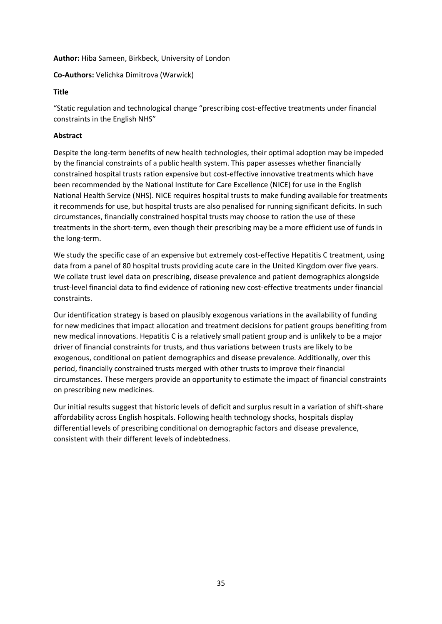# **Author:** Hiba Sameen, Birkbeck, University of London

# **Co-Authors:** Velichka Dimitrova (Warwick)

# **Title**

"Static regulation and technological change "prescribing cost-effective treatments under financial constraints in the English NHS"

# **Abstract**

Despite the long-term benefits of new health technologies, their optimal adoption may be impeded by the financial constraints of a public health system. This paper assesses whether financially constrained hospital trusts ration expensive but cost-effective innovative treatments which have been recommended by the National Institute for Care Excellence (NICE) for use in the English National Health Service (NHS). NICE requires hospital trusts to make funding available for treatments it recommends for use, but hospital trusts are also penalised for running significant deficits. In such circumstances, financially constrained hospital trusts may choose to ration the use of these treatments in the short-term, even though their prescribing may be a more efficient use of funds in the long-term.

We study the specific case of an expensive but extremely cost-effective Hepatitis C treatment, using data from a panel of 80 hospital trusts providing acute care in the United Kingdom over five years. We collate trust level data on prescribing, disease prevalence and patient demographics alongside trust-level financial data to find evidence of rationing new cost-effective treatments under financial constraints.

Our identification strategy is based on plausibly exogenous variations in the availability of funding for new medicines that impact allocation and treatment decisions for patient groups benefiting from new medical innovations. Hepatitis C is a relatively small patient group and is unlikely to be a major driver of financial constraints for trusts, and thus variations between trusts are likely to be exogenous, conditional on patient demographics and disease prevalence. Additionally, over this period, financially constrained trusts merged with other trusts to improve their financial circumstances. These mergers provide an opportunity to estimate the impact of financial constraints on prescribing new medicines.

Our initial results suggest that historic levels of deficit and surplus result in a variation of shift-share affordability across English hospitals. Following health technology shocks, hospitals display differential levels of prescribing conditional on demographic factors and disease prevalence, consistent with their different levels of indebtedness.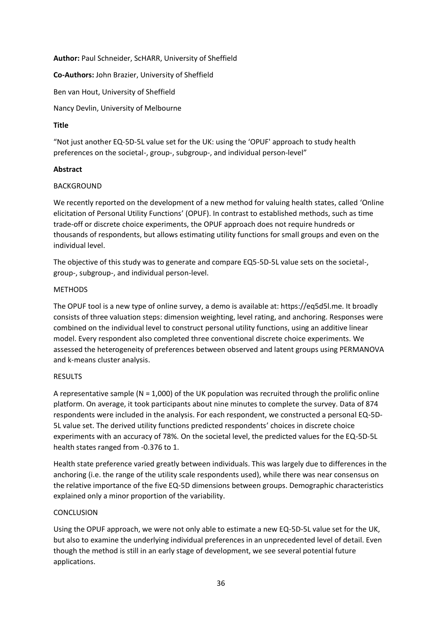**Author:** Paul Schneider, ScHARR, University of Sheffield

**Co-Authors:** John Brazier, University of Sheffield

Ben van Hout, University of Sheffield

Nancy Devlin, University of Melbourne

# **Title**

"Not just another EQ-5D-5L value set for the UK: using the 'OPUF' approach to study health preferences on the societal-, group-, subgroup-, and individual person-level"

# **Abstract**

# **BACKGROUND**

We recently reported on the development of a new method for valuing health states, called 'Online elicitation of Personal Utility Functions' (OPUF). In contrast to established methods, such as time trade-off or discrete choice experiments, the OPUF approach does not require hundreds or thousands of respondents, but allows estimating utility functions for small groups and even on the individual level.

The objective of this study was to generate and compare EQ5-5D-5L value sets on the societal-, group-, subgroup-, and individual person-level.

# **METHODS**

The OPUF tool is a new type of online survey, a demo is available at: https://eq5d5l.me. It broadly consists of three valuation steps: dimension weighting, level rating, and anchoring. Responses were combined on the individual level to construct personal utility functions, using an additive linear model. Every respondent also completed three conventional discrete choice experiments. We assessed the heterogeneity of preferences between observed and latent groups using PERMANOVA and k-means cluster analysis.

#### RESULTS

A representative sample ( $N = 1,000$ ) of the UK population was recruited through the prolific online platform. On average, it took participants about nine minutes to complete the survey. Data of 874 respondents were included in the analysis. For each respondent, we constructed a personal EQ-5D-5L value set. The derived utility functions predicted respondents' choices in discrete choice experiments with an accuracy of 78%. On the societal level, the predicted values for the EQ-5D-5L health states ranged from -0.376 to 1.

Health state preference varied greatly between individuals. This was largely due to differences in the anchoring (i.e. the range of the utility scale respondents used), while there was near consensus on the relative importance of the five EQ-5D dimensions between groups. Demographic characteristics explained only a minor proportion of the variability.

# **CONCLUSION**

Using the OPUF approach, we were not only able to estimate a new EQ-5D-5L value set for the UK, but also to examine the underlying individual preferences in an unprecedented level of detail. Even though the method is still in an early stage of development, we see several potential future applications.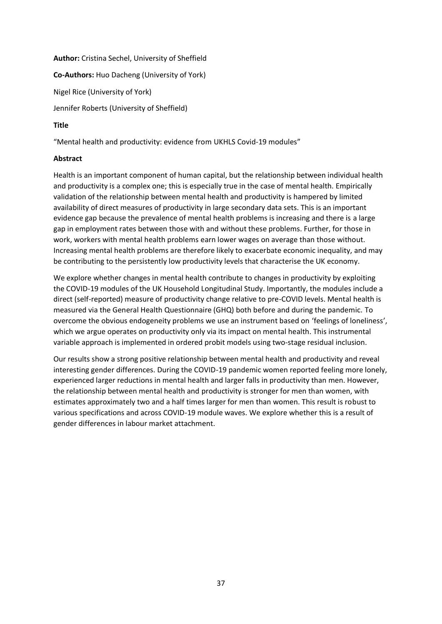# **Author:** Cristina Sechel, University of Sheffield **Co-Authors:** Huo Dacheng (University of York) Nigel Rice (University of York) Jennifer Roberts (University of Sheffield) **Title**

"Mental health and productivity: evidence from UKHLS Covid-19 modules"

# **Abstract**

Health is an important component of human capital, but the relationship between individual health and productivity is a complex one; this is especially true in the case of mental health. Empirically validation of the relationship between mental health and productivity is hampered by limited availability of direct measures of productivity in large secondary data sets. This is an important evidence gap because the prevalence of mental health problems is increasing and there is a large gap in employment rates between those with and without these problems. Further, for those in work, workers with mental health problems earn lower wages on average than those without. Increasing mental health problems are therefore likely to exacerbate economic inequality, and may be contributing to the persistently low productivity levels that characterise the UK economy.

We explore whether changes in mental health contribute to changes in productivity by exploiting the COVID-19 modules of the UK Household Longitudinal Study. Importantly, the modules include a direct (self-reported) measure of productivity change relative to pre-COVID levels. Mental health is measured via the General Health Questionnaire (GHQ) both before and during the pandemic. To overcome the obvious endogeneity problems we use an instrument based on 'feelings of loneliness', which we argue operates on productivity only via its impact on mental health. This instrumental variable approach is implemented in ordered probit models using two-stage residual inclusion.

Our results show a strong positive relationship between mental health and productivity and reveal interesting gender differences. During the COVID-19 pandemic women reported feeling more lonely, experienced larger reductions in mental health and larger falls in productivity than men. However, the relationship between mental health and productivity is stronger for men than women, with estimates approximately two and a half times larger for men than women. This result is robust to various specifications and across COVID-19 module waves. We explore whether this is a result of gender differences in labour market attachment.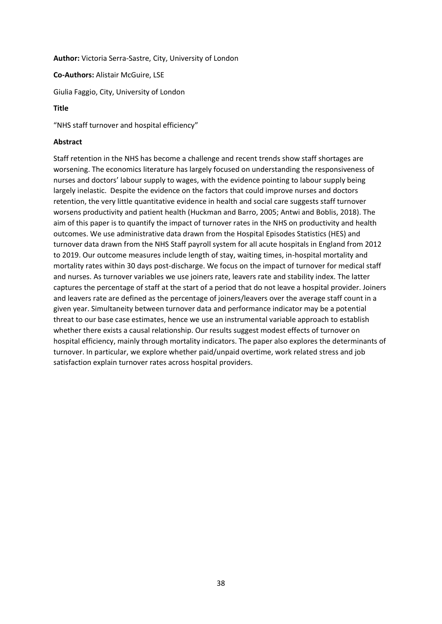**Author:** Victoria Serra-Sastre, City, University of London

**Co-Authors:** Alistair McGuire, LSE

Giulia Faggio, City, University of London

# **Title**

"NHS staff turnover and hospital efficiency"

# **Abstract**

Staff retention in the NHS has become a challenge and recent trends show staff shortages are worsening. The economics literature has largely focused on understanding the responsiveness of nurses and doctors' labour supply to wages, with the evidence pointing to labour supply being largely inelastic. Despite the evidence on the factors that could improve nurses and doctors retention, the very little quantitative evidence in health and social care suggests staff turnover worsens productivity and patient health (Huckman and Barro, 2005; Antwi and Boblis, 2018). The aim of this paper is to quantify the impact of turnover rates in the NHS on productivity and health outcomes. We use administrative data drawn from the Hospital Episodes Statistics (HES) and turnover data drawn from the NHS Staff payroll system for all acute hospitals in England from 2012 to 2019. Our outcome measures include length of stay, waiting times, in-hospital mortality and mortality rates within 30 days post-discharge. We focus on the impact of turnover for medical staff and nurses. As turnover variables we use joiners rate, leavers rate and stability index. The latter captures the percentage of staff at the start of a period that do not leave a hospital provider. Joiners and leavers rate are defined as the percentage of joiners/leavers over the average staff count in a given year. Simultaneity between turnover data and performance indicator may be a potential threat to our base case estimates, hence we use an instrumental variable approach to establish whether there exists a causal relationship. Our results suggest modest effects of turnover on hospital efficiency, mainly through mortality indicators. The paper also explores the determinants of turnover. In particular, we explore whether paid/unpaid overtime, work related stress and job satisfaction explain turnover rates across hospital providers.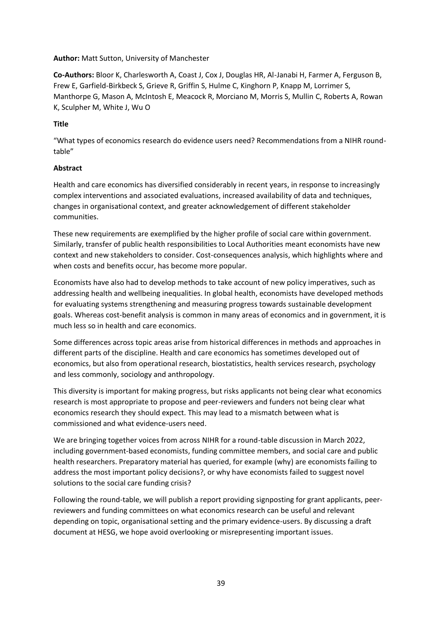# **Author:** Matt Sutton, University of Manchester

**Co-Authors:** Bloor K, Charlesworth A, Coast J, Cox J, Douglas HR, Al-Janabi H, Farmer A, Ferguson B, Frew E, Garfield-Birkbeck S, Grieve R, Griffin S, Hulme C, Kinghorn P, Knapp M, Lorrimer S, Manthorpe G, Mason A, McIntosh E, Meacock R, Morciano M, Morris S, Mullin C, Roberts A, Rowan K, Sculpher M, White J, Wu O

# **Title**

"What types of economics research do evidence users need? Recommendations from a NIHR roundtable"

# **Abstract**

Health and care economics has diversified considerably in recent years, in response to increasingly complex interventions and associated evaluations, increased availability of data and techniques, changes in organisational context, and greater acknowledgement of different stakeholder communities.

These new requirements are exemplified by the higher profile of social care within government. Similarly, transfer of public health responsibilities to Local Authorities meant economists have new context and new stakeholders to consider. Cost-consequences analysis, which highlights where and when costs and benefits occur, has become more popular.

Economists have also had to develop methods to take account of new policy imperatives, such as addressing health and wellbeing inequalities. In global health, economists have developed methods for evaluating systems strengthening and measuring progress towards sustainable development goals. Whereas cost-benefit analysis is common in many areas of economics and in government, it is much less so in health and care economics.

Some differences across topic areas arise from historical differences in methods and approaches in different parts of the discipline. Health and care economics has sometimes developed out of economics, but also from operational research, biostatistics, health services research, psychology and less commonly, sociology and anthropology.

This diversity is important for making progress, but risks applicants not being clear what economics research is most appropriate to propose and peer-reviewers and funders not being clear what economics research they should expect. This may lead to a mismatch between what is commissioned and what evidence-users need.

We are bringing together voices from across NIHR for a round-table discussion in March 2022, including government-based economists, funding committee members, and social care and public health researchers. Preparatory material has queried, for example (why) are economists failing to address the most important policy decisions?, or why have economists failed to suggest novel solutions to the social care funding crisis?

Following the round-table, we will publish a report providing signposting for grant applicants, peerreviewers and funding committees on what economics research can be useful and relevant depending on topic, organisational setting and the primary evidence-users. By discussing a draft document at HESG, we hope avoid overlooking or misrepresenting important issues.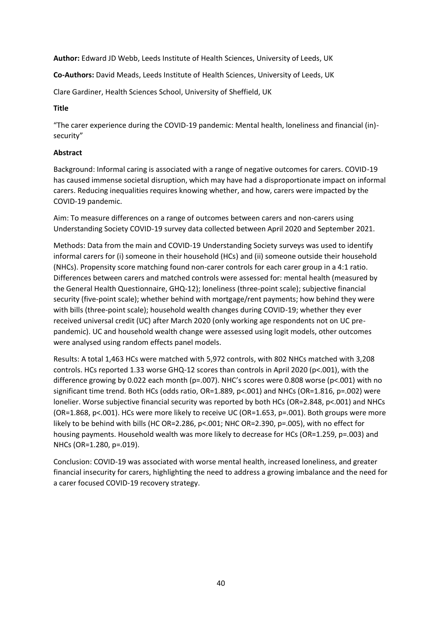**Author:** Edward JD Webb, Leeds Institute of Health Sciences, University of Leeds, UK

**Co-Authors:** David Meads, Leeds Institute of Health Sciences, University of Leeds, UK

Clare Gardiner, Health Sciences School, University of Sheffield, UK

#### **Title**

"The carer experience during the COVID-19 pandemic: Mental health, loneliness and financial (in) security"

# **Abstract**

Background: Informal caring is associated with a range of negative outcomes for carers. COVID-19 has caused immense societal disruption, which may have had a disproportionate impact on informal carers. Reducing inequalities requires knowing whether, and how, carers were impacted by the COVID-19 pandemic.

Aim: To measure differences on a range of outcomes between carers and non-carers using Understanding Society COVID-19 survey data collected between April 2020 and September 2021.

Methods: Data from the main and COVID-19 Understanding Society surveys was used to identify informal carers for (i) someone in their household (HCs) and (ii) someone outside their household (NHCs). Propensity score matching found non-carer controls for each carer group in a 4:1 ratio. Differences between carers and matched controls were assessed for: mental health (measured by the General Health Questionnaire, GHQ-12); loneliness (three-point scale); subjective financial security (five-point scale); whether behind with mortgage/rent payments; how behind they were with bills (three-point scale); household wealth changes during COVID-19; whether they ever received universal credit (UC) after March 2020 (only working age respondents not on UC prepandemic). UC and household wealth change were assessed using logit models, other outcomes were analysed using random effects panel models.

Results: A total 1,463 HCs were matched with 5,972 controls, with 802 NHCs matched with 3,208 controls. HCs reported 1.33 worse GHQ-12 scores than controls in April 2020 (p<.001), with the difference growing by 0.022 each month (p=.007). NHC's scores were 0.808 worse (p<.001) with no significant time trend. Both HCs (odds ratio, OR=1.889, p<.001) and NHCs (OR=1.816, p=.002) were lonelier. Worse subjective financial security was reported by both HCs (OR=2.848, p<.001) and NHCs (OR=1.868, p<.001). HCs were more likely to receive UC (OR=1.653, p=.001). Both groups were more likely to be behind with bills (HC OR=2.286, p<.001; NHC OR=2.390, p=.005), with no effect for housing payments. Household wealth was more likely to decrease for HCs (OR=1.259, p=.003) and NHCs (OR=1.280, p=.019).

Conclusion: COVID-19 was associated with worse mental health, increased loneliness, and greater financial insecurity for carers, highlighting the need to address a growing imbalance and the need for a carer focused COVID-19 recovery strategy.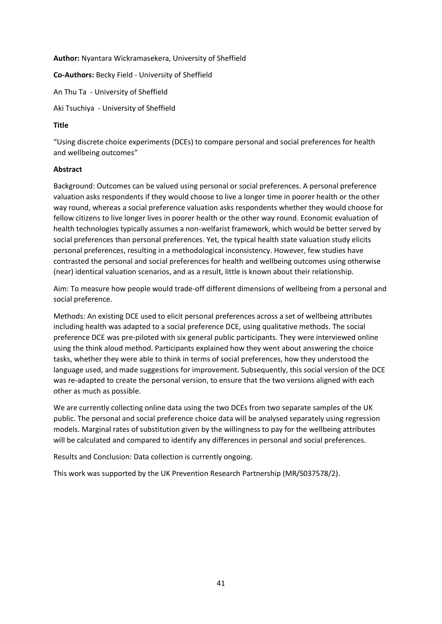# **Author:** Nyantara Wickramasekera, University of Sheffield

**Co-Authors:** Becky Field - University of Sheffield

An Thu Ta - University of Sheffield

Aki Tsuchiya - University of Sheffield

# **Title**

"Using discrete choice experiments (DCEs) to compare personal and social preferences for health and wellbeing outcomes"

# **Abstract**

Background: Outcomes can be valued using personal or social preferences. A personal preference valuation asks respondents if they would choose to live a longer time in poorer health or the other way round, whereas a social preference valuation asks respondents whether they would choose for fellow citizens to live longer lives in poorer health or the other way round. Economic evaluation of health technologies typically assumes a non-welfarist framework, which would be better served by social preferences than personal preferences. Yet, the typical health state valuation study elicits personal preferences, resulting in a methodological inconsistency. However, few studies have contrasted the personal and social preferences for health and wellbeing outcomes using otherwise (near) identical valuation scenarios, and as a result, little is known about their relationship.

Aim: To measure how people would trade-off different dimensions of wellbeing from a personal and social preference.

Methods: An existing DCE used to elicit personal preferences across a set of wellbeing attributes including health was adapted to a social preference DCE, using qualitative methods. The social preference DCE was pre-piloted with six general public participants. They were interviewed online using the think aloud method. Participants explained how they went about answering the choice tasks, whether they were able to think in terms of social preferences, how they understood the language used, and made suggestions for improvement. Subsequently, this social version of the DCE was re-adapted to create the personal version, to ensure that the two versions aligned with each other as much as possible.

We are currently collecting online data using the two DCEs from two separate samples of the UK public. The personal and social preference choice data will be analysed separately using regression models. Marginal rates of substitution given by the willingness to pay for the wellbeing attributes will be calculated and compared to identify any differences in personal and social preferences.

Results and Conclusion: Data collection is currently ongoing.

This work was supported by the UK Prevention Research Partnership (MR/S037578/2).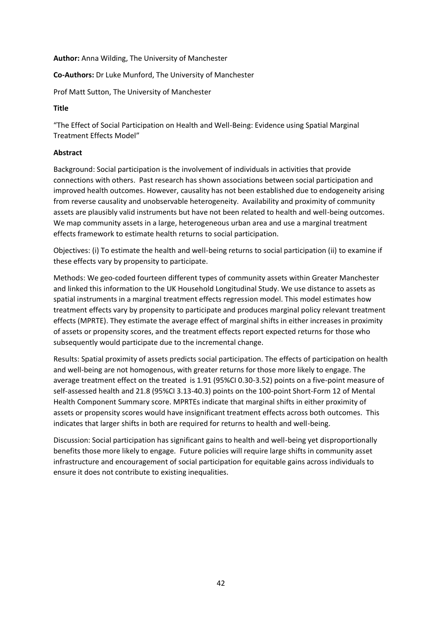#### **Author:** Anna Wilding, The University of Manchester

# **Co-Authors:** Dr Luke Munford, The University of Manchester

Prof Matt Sutton, The University of Manchester

# **Title**

"The Effect of Social Participation on Health and Well-Being: Evidence using Spatial Marginal Treatment Effects Model"

# **Abstract**

Background: Social participation is the involvement of individuals in activities that provide connections with others. Past research has shown associations between social participation and improved health outcomes. However, causality has not been established due to endogeneity arising from reverse causality and unobservable heterogeneity. Availability and proximity of community assets are plausibly valid instruments but have not been related to health and well-being outcomes. We map community assets in a large, heterogeneous urban area and use a marginal treatment effects framework to estimate health returns to social participation.

Objectives: (i) To estimate the health and well-being returns to social participation (ii) to examine if these effects vary by propensity to participate.

Methods: We geo-coded fourteen different types of community assets within Greater Manchester and linked this information to the UK Household Longitudinal Study. We use distance to assets as spatial instruments in a marginal treatment effects regression model. This model estimates how treatment effects vary by propensity to participate and produces marginal policy relevant treatment effects (MPRTE). They estimate the average effect of marginal shifts in either increases in proximity of assets or propensity scores, and the treatment effects report expected returns for those who subsequently would participate due to the incremental change.

Results: Spatial proximity of assets predicts social participation. The effects of participation on health and well-being are not homogenous, with greater returns for those more likely to engage. The average treatment effect on the treated is 1.91 (95%CI 0.30-3.52) points on a five-point measure of self-assessed health and 21.8 (95%CI 3.13-40.3) points on the 100-point Short-Form 12 of Mental Health Component Summary score. MPRTEs indicate that marginal shifts in either proximity of assets or propensity scores would have insignificant treatment effects across both outcomes. This indicates that larger shifts in both are required for returns to health and well-being.

Discussion: Social participation has significant gains to health and well-being yet disproportionally benefits those more likely to engage. Future policies will require large shifts in community asset infrastructure and encouragement of social participation for equitable gains across individuals to ensure it does not contribute to existing inequalities.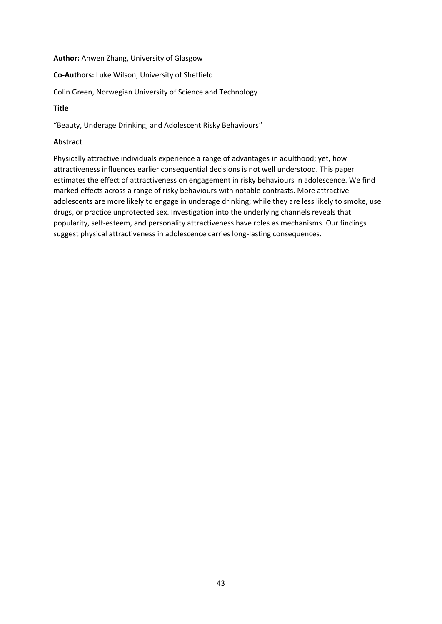**Author:** Anwen Zhang, University of Glasgow

**Co-Authors:** Luke Wilson, University of Sheffield

Colin Green, Norwegian University of Science and Technology

# **Title**

"Beauty, Underage Drinking, and Adolescent Risky Behaviours"

# **Abstract**

Physically attractive individuals experience a range of advantages in adulthood; yet, how attractiveness influences earlier consequential decisions is not well understood. This paper estimates the effect of attractiveness on engagement in risky behaviours in adolescence. We find marked effects across a range of risky behaviours with notable contrasts. More attractive adolescents are more likely to engage in underage drinking; while they are less likely to smoke, use drugs, or practice unprotected sex. Investigation into the underlying channels reveals that popularity, self-esteem, and personality attractiveness have roles as mechanisms. Our findings suggest physical attractiveness in adolescence carries long-lasting consequences.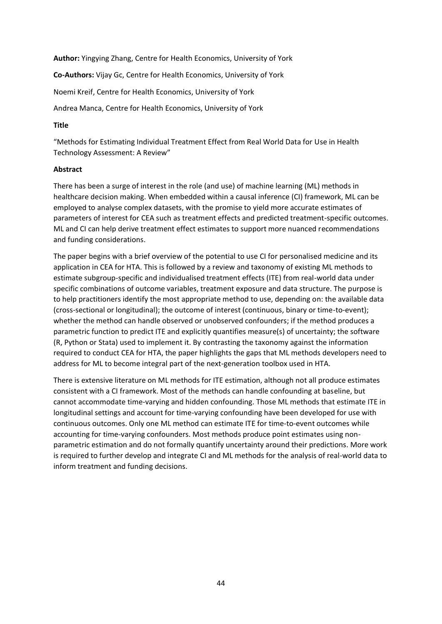**Author:** Yingying Zhang, Centre for Health Economics, University of York

**Co-Authors:** Vijay Gc, Centre for Health Economics, University of York

Noemi Kreif, Centre for Health Economics, University of York

Andrea Manca, Centre for Health Economics, University of York

# **Title**

"Methods for Estimating Individual Treatment Effect from Real World Data for Use in Health Technology Assessment: A Review"

# **Abstract**

There has been a surge of interest in the role (and use) of machine learning (ML) methods in healthcare decision making. When embedded within a causal inference (CI) framework, ML can be employed to analyse complex datasets, with the promise to yield more accurate estimates of parameters of interest for CEA such as treatment effects and predicted treatment-specific outcomes. ML and CI can help derive treatment effect estimates to support more nuanced recommendations and funding considerations.

The paper begins with a brief overview of the potential to use CI for personalised medicine and its application in CEA for HTA. This is followed by a review and taxonomy of existing ML methods to estimate subgroup-specific and individualised treatment effects (ITE) from real-world data under specific combinations of outcome variables, treatment exposure and data structure. The purpose is to help practitioners identify the most appropriate method to use, depending on: the available data (cross-sectional or longitudinal); the outcome of interest (continuous, binary or time-to-event); whether the method can handle observed or unobserved confounders; if the method produces a parametric function to predict ITE and explicitly quantifies measure(s) of uncertainty; the software (R, Python or Stata) used to implement it. By contrasting the taxonomy against the information required to conduct CEA for HTA, the paper highlights the gaps that ML methods developers need to address for ML to become integral part of the next-generation toolbox used in HTA.

There is extensive literature on ML methods for ITE estimation, although not all produce estimates consistent with a CI framework. Most of the methods can handle confounding at baseline, but cannot accommodate time-varying and hidden confounding. Those ML methods that estimate ITE in longitudinal settings and account for time-varying confounding have been developed for use with continuous outcomes. Only one ML method can estimate ITE for time-to-event outcomes while accounting for time-varying confounders. Most methods produce point estimates using nonparametric estimation and do not formally quantify uncertainty around their predictions. More work is required to further develop and integrate CI and ML methods for the analysis of real-world data to inform treatment and funding decisions.